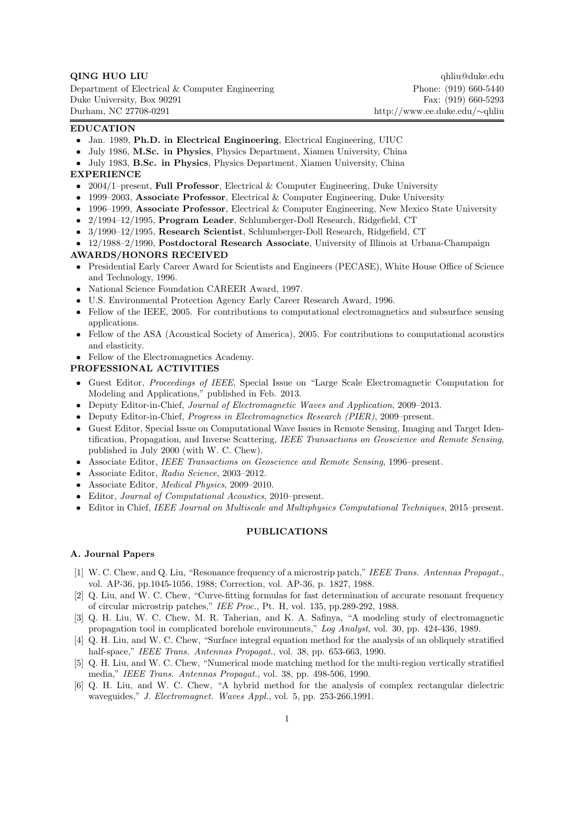Department of Electrical & Computer Engineering Phone: (919) 660-5440 Duke University, Box 90291 Fax: (919) 660-5293 Durham, NC 27708-0291 http://www.ee.duke.edu/*∼*qhliu

**QING HUO LIU** qhliu@duke.edu

## **EDUCATION**

- *•* Jan. 1989, **Ph.D. in Electrical Engineering**, Electrical Engineering, UIUC
- *•* July 1986, **M.Sc. in Physics**, Physics Department, Xiamen University, China
- *•* July 1983, **B.Sc. in Physics**, Physics Department, Xiamen University, China

# **EXPERIENCE**

- *•* 2004/1–present, **Full Professor**, Electrical & Computer Engineering, Duke University
- *•* 1999–2003, **Associate Professor**, Electrical & Computer Engineering, Duke University
- *•* 1996–1999, **Associate Professor**, Electrical & Computer Engineering, New Mexico State University
- *•* 2/1994–12/1995, **Program Leader**, Schlumberger-Doll Research, Ridgefield, CT
- *•* 3/1990–12/1995, **Research Scientist**, Schlumberger-Doll Research, Ridgefield, CT
- *•* 12/1988–2/1990, **Postdoctoral Research Associate**, University of Illinois at Urbana-Champaign

#### **AWARDS/HONORS RECEIVED**

- Presidential Early Career Award for Scientists and Engineers (PECASE), White House Office of Science and Technology, 1996.
- *•* National Science Foundation CAREER Award, 1997.
- *•* U.S. Environmental Protection Agency Early Career Research Award, 1996.
- Fellow of the IEEE, 2005. For contributions to computational electromagnetics and subsurface sensing applications.
- Fellow of the ASA (Acoustical Society of America), 2005. For contributions to computational acoustics and elasticity.
- Fellow of the Electromagnetics Academy.

# **PROFESSIONAL ACTIVITIES**

- *•* Guest Editor, *Proceedings of IEEE*, Special Issue on "Large Scale Electromagnetic Computation for Modeling and Applications," published in Feb. 2013.
- *•* Deputy Editor-in-Chief, *Journal of Electromagnetic Waves and Application*, 2009–2013.
- *•* Deputy Editor-in-Chief, *Progress in Electromagnetics Research (PIER)*, 2009–present.
- *•* Guest Editor, Special Issue on Computational Wave Issues in Remote Sensing, Imaging and Target Identification, Propagation, and Inverse Scattering, *IEEE Transactions on Geoscience and Remote Sensing*, published in July 2000 (with W. C. Chew).
- *•* Associate Editor, *IEEE Transactions on Geoscience and Remote Sensing*, 1996–present.
- *•* Associate Editor, *Radio Science*, 2003–2012.
- *•* Associate Editor, *Medical Physics*, 2009–2010.
- *•* Editor, *Journal of Computational Acoustics*, 2010–present.
- *•* Editor in Chief, *IEEE Journal on Multiscale and Multiphysics Computational Techniques*, 2015–present.

## **PUBLICATIONS**

### **A. Journal Papers**

- [1] W. C. Chew, and Q. Liu, "Resonance frequency of a microstrip patch," *IEEE Trans. Antennas Propagat.*, vol. AP-36, pp.1045-1056, 1988; Correction, vol. AP-36, p. 1827, 1988.
- [2] Q. Liu, and W. C. Chew, "Curve-fitting formulas for fast determination of accurate resonant frequency of circular microstrip patches," *IEE Proc.*, Pt. H, vol. 135, pp.289-292, 1988.
- [3] Q. H. Liu, W. C. Chew, M. R. Taherian, and K. A. Safinya, "A modeling study of electromagnetic propagation tool in complicated borehole environments," *Log Analyst*, vol. 30, pp. 424-436, 1989.
- [4] Q. H. Liu, and W. C. Chew, "Surface integral equation method for the analysis of an obliquely stratified half-space," *IEEE Trans. Antennas Propagat.*, vol. 38, pp. 653-663, 1990.
- [5] Q. H. Liu, and W. C. Chew, "Numerical mode matching method for the multi-region vertically stratified media," *IEEE Trans. Antennas Propagat.*, vol. 38, pp. 498-506, 1990.
- [6] Q. H. Liu, and W. C. Chew, "A hybrid method for the analysis of complex rectangular dielectric waveguides," *J. Electromagnet. Waves Appl.*, vol. 5, pp. 253-266,1991.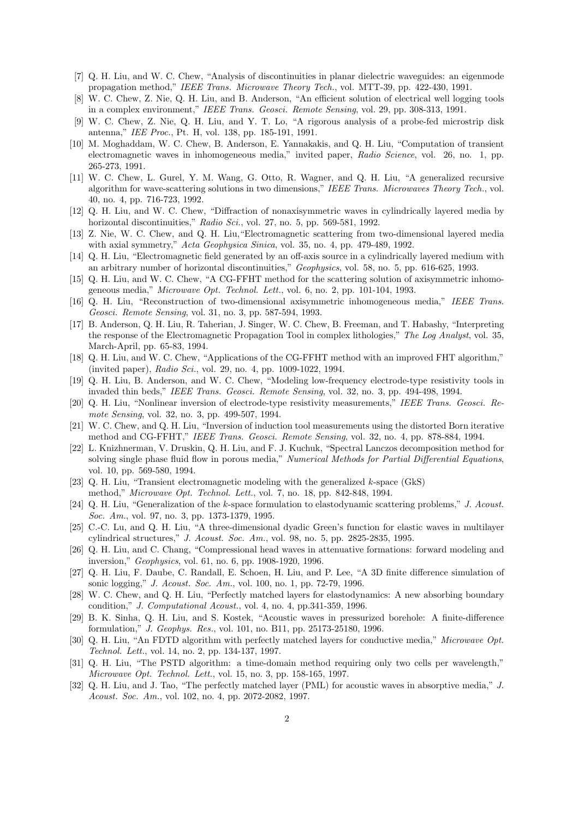- [7] Q. H. Liu, and W. C. Chew, "Analysis of discontinuities in planar dielectric waveguides: an eigenmode propagation method," *IEEE Trans. Microwave Theory Tech.*, vol. MTT-39, pp. 422-430, 1991.
- [8] W. C. Chew, Z. Nie, Q. H. Liu, and B. Anderson, "An efficient solution of electrical well logging tools in a complex environment," *IEEE Trans. Geosci. Remote Sensing*, vol. 29, pp. 308-313, 1991.
- [9] W. C. Chew, Z. Nie, Q. H. Liu, and Y. T. Lo, "A rigorous analysis of a probe-fed microstrip disk antenna," *IEE Proc.*, Pt. H, vol. 138, pp. 185-191, 1991.
- [10] M. Moghaddam, W. C. Chew, B. Anderson, E. Yannakakis, and Q. H. Liu, "Computation of transient electromagnetic waves in inhomogeneous media," invited paper, *Radio Science*, vol. 26, no. 1, pp. 265-273, 1991.
- [11] W. C. Chew, L. Gurel, Y. M. Wang, G. Otto, R. Wagner, and Q. H. Liu, "A generalized recursive algorithm for wave-scattering solutions in two dimensions," *IEEE Trans. Microwaves Theory Tech.*, vol. 40, no. 4, pp. 716-723, 1992.
- [12] Q. H. Liu, and W. C. Chew, "Diffraction of nonaxisymmetric waves in cylindrically layered media by horizontal discontinuities," *Radio Sci.*, vol. 27, no. 5, pp. 569-581, 1992.
- [13] Z. Nie, W. C. Chew, and Q. H. Liu,"Electromagnetic scattering from two-dimensional layered media with axial symmetry," *Acta Geophysica Sinica*, vol. 35, no. 4, pp. 479-489, 1992.
- [14] Q. H. Liu, "Electromagnetic field generated by an off-axis source in a cylindrically layered medium with an arbitrary number of horizontal discontinuities," *Geophysics*, vol. 58, no. 5, pp. 616-625, 1993.
- [15] Q. H. Liu, and W. C. Chew, "A CG-FFHT method for the scattering solution of axisymmetric inhomogeneous media," *Microwave Opt. Technol. Lett.*, vol. 6, no. 2, pp. 101-104, 1993.
- [16] Q. H. Liu, "Reconstruction of two-dimensional axisymmetric inhomogeneous media," *IEEE Trans. Geosci. Remote Sensing*, vol. 31, no. 3, pp. 587-594, 1993.
- [17] B. Anderson, Q. H. Liu, R. Taherian, J. Singer, W. C. Chew, B. Freeman, and T. Habashy, "Interpreting the response of the Electromagnetic Propagation Tool in complex lithologies," *The Log Analyst*, vol. 35, March-April, pp. 65-83, 1994.
- [18] Q. H. Liu, and W. C. Chew, "Applications of the CG-FFHT method with an improved FHT algorithm," (invited paper), *Radio Sci.*, vol. 29, no. 4, pp. 1009-1022, 1994.
- [19] Q. H. Liu, B. Anderson, and W. C. Chew, "Modeling low-frequency electrode-type resistivity tools in invaded thin beds," *IEEE Trans. Geosci. Remote Sensing*, vol. 32, no. 3, pp. 494-498, 1994.
- [20] Q. H. Liu, "Nonlinear inversion of electrode-type resistivity measurements," *IEEE Trans. Geosci. Remote Sensing*, vol. 32, no. 3, pp. 499-507, 1994.
- [21] W. C. Chew, and Q. H. Liu, "Inversion of induction tool measurements using the distorted Born iterative method and CG-FFHT," *IEEE Trans. Geosci. Remote Sensing*, vol. 32, no. 4, pp. 878-884, 1994.
- [22] L. Knizhnerman, V. Druskin, Q. H. Liu, and F. J. Kuchuk, "Spectral Lanczos decomposition method for solving single phase fluid flow in porous media," *Numerical Methods for Partial Differential Equations*, vol. 10, pp. 569-580, 1994.
- [23] Q. H. Liu, "Transient electromagnetic modeling with the generalized *k*-space (GkS) method," *Microwave Opt. Technol. Lett.*, vol. 7, no. 18, pp. 842-848, 1994.
- [24] Q. H. Liu, "Generalization of the *k*-space formulation to elastodynamic scattering problems," *J. Acoust. Soc. Am.*, vol. 97, no. 3, pp. 1373-1379, 1995.
- [25] C.-C. Lu, and Q. H. Liu, "A three-dimensional dyadic Green's function for elastic waves in multilayer cylindrical structures," *J. Acoust. Soc. Am.*, vol. 98, no. 5, pp. 2825-2835, 1995.
- [26] Q. H. Liu, and C. Chang, "Compressional head waves in attenuative formations: forward modeling and inversion," *Geophysics*, vol. 61, no. 6, pp. 1908-1920, 1996.
- [27] Q. H. Liu, F. Daube, C. Randall, E. Schoen, H. Liu, and P. Lee, "A 3D finite difference simulation of sonic logging," *J. Acoust. Soc. Am.*, vol. 100, no. 1, pp. 72-79, 1996.
- [28] W. C. Chew, and Q. H. Liu, "Perfectly matched layers for elastodynamics: A new absorbing boundary condition," *J. Computational Acoust.*, vol. 4, no. 4, pp.341-359, 1996.
- [29] B. K. Sinha, Q. H. Liu, and S. Kostek, "Acoustic waves in pressurized borehole: A finite-difference formulation," *J. Geophys. Res.*, vol. 101, no. B11, pp. 25173-25180, 1996.
- [30] Q. H. Liu, "An FDTD algorithm with perfectly matched layers for conductive media," *Microwave Opt. Technol. Lett.*, vol. 14, no. 2, pp. 134-137, 1997.
- [31] Q. H. Liu, "The PSTD algorithm: a time-domain method requiring only two cells per wavelength," *Microwave Opt. Technol. Lett.*, vol. 15, no. 3, pp. 158-165, 1997.
- [32] Q. H. Liu, and J. Tao, "The perfectly matched layer (PML) for acoustic waves in absorptive media," *J. Acoust. Soc. Am.*, vol. 102, no. 4, pp. 2072-2082, 1997.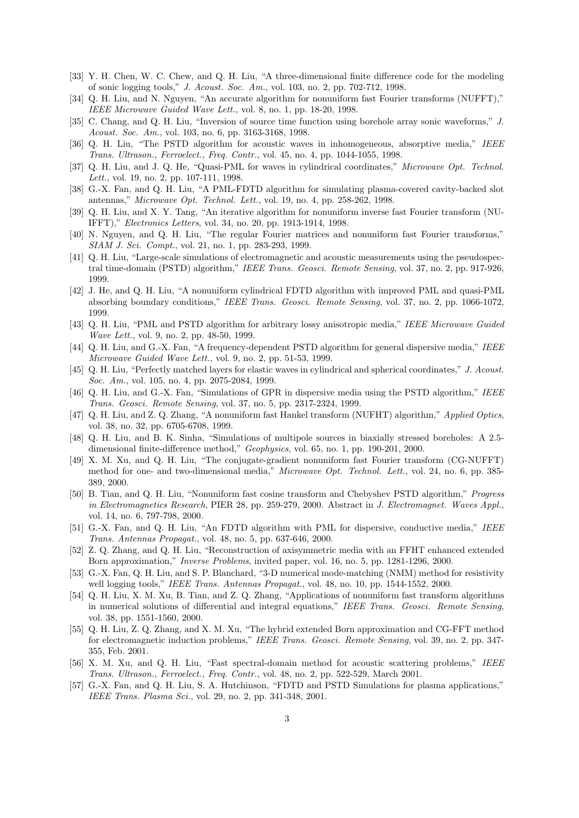- [33] Y. H. Chen, W. C. Chew, and Q. H. Liu, "A three-dimensional finite difference code for the modeling of sonic logging tools," *J. Acoust. Soc. Am.*, vol. 103, no. 2, pp. 702-712, 1998.
- [34] Q. H. Liu, and N. Nguyen, "An accurate algorithm for nonuniform fast Fourier transforms (NUFFT)," *IEEE Microwave Guided Wave Lett.,* vol. 8, no. 1, pp. 18-20, 1998.
- [35] C. Chang, and Q. H. Liu, "Inversion of source time function using borehole array sonic waveforms," *J. Acoust. Soc. Am.*, vol. 103, no. 6, pp. 3163-3168, 1998.
- [36] Q. H. Liu, "The PSTD algorithm for acoustic waves in inhomogeneous, absorptive media," *IEEE Trans. Ultrason., Ferroelect., Freq. Contr.*, vol. 45, no. 4, pp. 1044-1055, 1998.
- [37] Q. H. Liu, and J. Q. He, "Quasi-PML for waves in cylindrical coordinates," *Microwave Opt. Technol. Lett.*, vol. 19, no. 2, pp. 107-111, 1998.
- [38] G.-X. Fan, and Q. H. Liu, "A PML-FDTD algorithm for simulating plasma-covered cavity-backed slot antennas," *Microwave Opt. Technol. Lett.*, vol. 19, no. 4, pp. 258-262, 1998.
- [39] Q. H. Liu, and X. Y. Tang, "An iterative algorithm for nonuniform inverse fast Fourier transform (NU-IFFT)," *Electronics Letters*, vol. 34, no. 20, pp. 1913-1914, 1998.
- [40] N. Nguyen, and Q. H. Liu, "The regular Fourier matrices and nonuniform fast Fourier transforms," *SIAM J. Sci. Compt.*, vol. 21, no. 1, pp. 283-293, 1999.
- [41] Q. H. Liu, "Large-scale simulations of electromagnetic and acoustic measurements using the pseudospectral time-domain (PSTD) algorithm," *IEEE Trans. Geosci. Remote Sensing*, vol. 37, no. 2, pp. 917-926, 1999.
- [42] J. He, and Q. H. Liu, "A nonuniform cylindrical FDTD algorithm with improved PML and quasi-PML absorbing boundary conditions," *IEEE Trans. Geosci. Remote Sensing*, vol. 37, no. 2, pp. 1066-1072, 1999.
- [43] Q. H. Liu, "PML and PSTD algorithm for arbitrary lossy anisotropic media," *IEEE Microwave Guided Wave Lett.*, vol. 9, no. 2, pp. 48-50, 1999.
- [44] Q. H. Liu, and G.-X. Fan, "A frequency-dependent PSTD algorithm for general dispersive media," *IEEE Microwave Guided Wave Lett.,* vol. 9, no. 2, pp. 51-53, 1999.
- [45] Q. H. Liu, "Perfectly matched layers for elastic waves in cylindrical and spherical coordinates," *J. Acoust. Soc. Am.*, vol. 105, no. 4, pp. 2075-2084, 1999.
- [46] Q. H. Liu, and G.-X. Fan, "Simulations of GPR in dispersive media using the PSTD algorithm," *IEEE Trans. Geosci. Remote Sensing*, vol. 37, no. 5, pp. 2317-2324, 1999.
- [47] Q. H. Liu, and Z. Q. Zhang, "A nonuniform fast Hankel transform (NUFHT) algorithm," *Applied Optics*, vol. 38, no. 32, pp. 6705-6708, 1999.
- [48] Q. H. Liu, and B. K. Sinha, "Simulations of multipole sources in biaxially stressed boreholes: A 2.5 dimensional finite-difference method," *Geophysics*, vol. 65, no. 1, pp. 190-201, 2000.
- [49] X. M. Xu, and Q. H. Liu, "The conjugate-gradient nonuniform fast Fourier transform (CG-NUFFT) method for one- and two-dimensional media," *Microwave Opt. Technol. Lett.*, vol. 24, no. 6, pp. 385- 389, 2000.
- [50] B. Tian, and Q. H. Liu, "Nonuniform fast cosine transform and Chebyshev PSTD algorithm," *Progress in Electromagnetics Research*, PIER 28, pp. 259-279, 2000. Abstract in *J. Electromagnet. Waves Appl.*, vol. 14, no. 6, 797-798, 2000.
- [51] G.-X. Fan, and Q. H. Liu, "An FDTD algorithm with PML for dispersive, conductive media," *IEEE Trans. Antennas Propagat.*, vol. 48, no. 5, pp. 637-646, 2000.
- [52] Z. Q. Zhang, and Q. H. Liu, "Reconstruction of axisymmetric media with an FFHT enhanced extended Born approximation," *Inverse Problems*, invited paper, vol. 16, no. 5, pp. 1281-1296, 2000.
- [53] G.-X. Fan, Q. H. Liu, and S. P. Blanchard, "3-D numerical mode-matching (NMM) method for resistivity well logging tools," *IEEE Trans. Antennas Propagat.*, vol. 48, no. 10, pp. 1544-1552, 2000.
- [54] Q. H. Liu, X. M. Xu, B. Tian, and Z. Q. Zhang, "Applications of nonuniform fast transform algorithms in numerical solutions of differential and integral equations," *IEEE Trans. Geosci. Remote Sensing*, vol. 38, pp. 1551-1560, 2000.
- [55] Q. H. Liu, Z. Q. Zhang, and X. M. Xu, "The hybrid extended Born approximation and CG-FFT method for electromagnetic induction problems," *IEEE Trans. Geosci. Remote Sensing*, vol. 39, no. 2, pp. 347- 355, Feb. 2001.
- [56] X. M. Xu, and Q. H. Liu, "Fast spectral-domain method for acoustic scattering problems," *IEEE Trans. Ultrason., Ferroelect., Freq. Contr.*, vol. 48, no. 2, pp. 522-529, March 2001.
- [57] G.-X. Fan, and Q. H. Liu, S. A. Hutchinson, "FDTD and PSTD Simulations for plasma applications," *IEEE Trans. Plasma Sci.*, vol. 29, no. 2, pp. 341-348, 2001.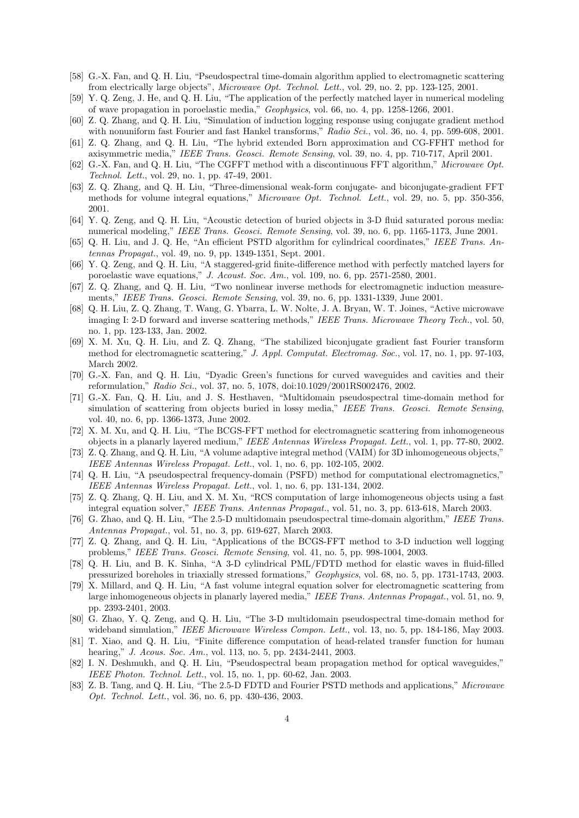- [58] G.-X. Fan, and Q. H. Liu, "Pseudospectral time-domain algorithm applied to electromagnetic scattering from electrically large objects", *Microwave Opt. Technol. Lett.*, vol. 29, no. 2, pp. 123-125, 2001.
- [59] Y. Q. Zeng, J. He, and Q. H. Liu, "The application of the perfectly matched layer in numerical modeling of wave propagation in poroelastic media," *Geophysics*, vol. 66, no. 4, pp. 1258-1266, 2001.
- [60] Z. Q. Zhang, and Q. H. Liu, "Simulation of induction logging response using conjugate gradient method with nonuniform fast Fourier and fast Hankel transforms," *Radio Sci.*, vol. 36, no. 4, pp. 599-608, 2001.
- [61] Z. Q. Zhang, and Q. H. Liu, "The hybrid extended Born approximation and CG-FFHT method for axisymmetric media," *IEEE Trans. Geosci. Remote Sensing*, vol. 39, no. 4, pp. 710-717, April 2001.
- [62] G.-X. Fan, and Q. H. Liu, "The CGFFT method with a discontinuous FFT algorithm," *Microwave Opt. Technol. Lett.*, vol. 29, no. 1, pp. 47-49, 2001.
- [63] Z. Q. Zhang, and Q. H. Liu, "Three-dimensional weak-form conjugate- and biconjugate-gradient FFT methods for volume integral equations," *Microwave Opt. Technol. Lett.*, vol. 29, no. 5, pp. 350-356, 2001.
- [64] Y. Q. Zeng, and Q. H. Liu, "Acoustic detection of buried objects in 3-D fluid saturated porous media: numerical modeling," *IEEE Trans. Geosci. Remote Sensing*, vol. 39, no. 6, pp. 1165-1173, June 2001.
- [65] Q. H. Liu, and J. Q. He, "An efficient PSTD algorithm for cylindrical coordinates," *IEEE Trans. Antennas Propagat.*, vol. 49, no. 9, pp. 1349-1351, Sept. 2001.
- [66] Y. Q. Zeng, and Q. H. Liu, "A staggered-grid finite-difference method with perfectly matched layers for poroelastic wave equations," *J. Acoust. Soc. Am.*, vol. 109, no. 6, pp. 2571-2580, 2001.
- [67] Z. Q. Zhang, and Q. H. Liu, "Two nonlinear inverse methods for electromagnetic induction measurements," *IEEE Trans. Geosci. Remote Sensing*, vol. 39, no. 6, pp. 1331-1339, June 2001.
- [68] Q. H. Liu, Z. Q. Zhang, T. Wang, G. Ybarra, L. W. Nolte, J. A. Bryan, W. T. Joines, "Active microwave imaging I: 2-D forward and inverse scattering methods," *IEEE Trans. Microwave Theory Tech.*, vol. 50, no. 1, pp. 123-133, Jan. 2002.
- [69] X. M. Xu, Q. H. Liu, and Z. Q. Zhang, "The stabilized biconjugate gradient fast Fourier transform method for electromagnetic scattering," *J. Appl. Computat. Electromag. Soc.*, vol. 17, no. 1, pp. 97-103, March 2002.
- [70] G.-X. Fan, and Q. H. Liu, "Dyadic Green's functions for curved waveguides and cavities and their reformulation," *Radio Sci.*, vol. 37, no. 5, 1078, doi:10.1029/2001RS002476, 2002.
- [71] G.-X. Fan, Q. H. Liu, and J. S. Hesthaven, "Multidomain pseudospectral time-domain method for simulation of scattering from objects buried in lossy media," *IEEE Trans. Geosci. Remote Sensing*, vol. 40, no. 6, pp. 1366-1373, June 2002.
- [72] X. M. Xu, and Q. H. Liu, "The BCGS-FFT method for electromagnetic scattering from inhomogeneous objects in a planarly layered medium," *IEEE Antennas Wireless Propagat. Lett.*, vol. 1, pp. 77-80, 2002.
- [73] Z. Q. Zhang, and Q. H. Liu, "A volume adaptive integral method (VAIM) for 3D inhomogeneous objects," *IEEE Antennas Wireless Propagat. Lett.*, vol. 1, no. 6, pp. 102-105, 2002.
- [74] Q. H. Liu, "A pseudospectral frequency-domain (PSFD) method for computational electromagnetics," *IEEE Antennas Wireless Propagat. Lett.*, vol. 1, no. 6, pp. 131-134, 2002.
- [75] Z. Q. Zhang, Q. H. Liu, and X. M. Xu, "RCS computation of large inhomogeneous objects using a fast integral equation solver," *IEEE Trans. Antennas Propagat.*, vol. 51, no. 3, pp. 613-618, March 2003.
- [76] G. Zhao, and Q. H. Liu, "The 2.5-D multidomain pseudospectral time-domain algorithm," *IEEE Trans. Antennas Propagat.*, vol. 51, no. 3, pp. 619-627, March 2003.
- [77] Z. Q. Zhang, and Q. H. Liu, "Applications of the BCGS-FFT method to 3-D induction well logging problems," *IEEE Trans. Geosci. Remote Sensing*, vol. 41, no. 5, pp. 998-1004, 2003.
- [78] Q. H. Liu, and B. K. Sinha, "A 3-D cylindrical PML/FDTD method for elastic waves in fluid-filled pressurized boreholes in triaxially stressed formations," *Geophysics*, vol. 68, no. 5, pp. 1731-1743, 2003.
- [79] X. Millard, and Q. H. Liu, "A fast volume integral equation solver for electromagnetic scattering from large inhomogeneous objects in planarly layered media," *IEEE Trans. Antennas Propagat.*, vol. 51, no. 9, pp. 2393-2401, 2003.
- [80] G. Zhao, Y. Q. Zeng, and Q. H. Liu, "The 3-D multidomain pseudospectral time-domain method for wideband simulation," *IEEE Microwave Wireless Compon. Lett.*, vol. 13, no. 5, pp. 184-186, May 2003.
- [81] T. Xiao, and Q. H. Liu, "Finite difference computation of head-related transfer function for human hearing," *J. Acous. Soc. Am.*, vol. 113, no. 5, pp. 2434-2441, 2003.
- [82] I. N. Deshmukh, and Q. H. Liu, "Pseudospectral beam propagation method for optical waveguides," *IEEE Photon. Technol. Lett.*, vol. 15, no. 1, pp. 60-62, Jan. 2003.
- [83] Z. B. Tang, and Q. H. Liu, "The 2.5-D FDTD and Fourier PSTD methods and applications," *Microwave Opt. Technol. Lett.*, vol. 36, no. 6, pp. 430-436, 2003.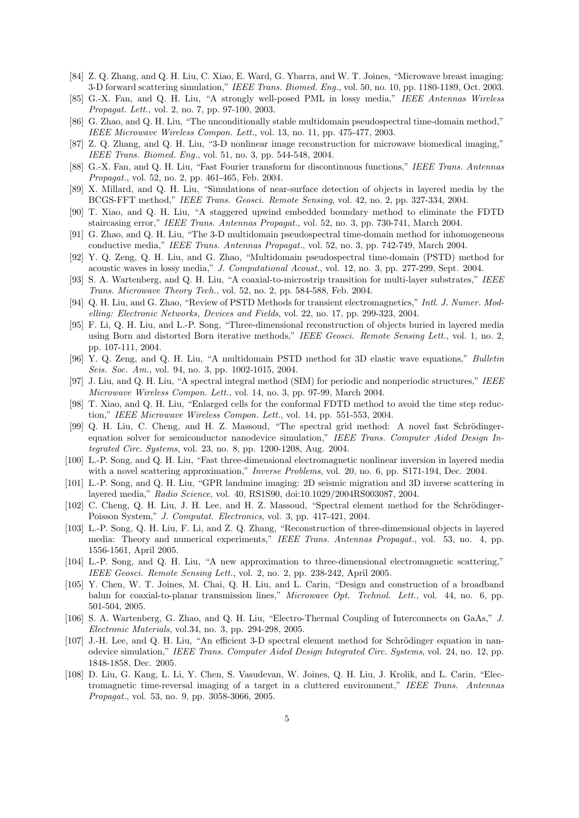- [84] Z. Q. Zhang, and Q. H. Liu, C. Xiao, E. Ward, G. Ybarra, and W. T. Joines, "Microwave breast imaging: 3-D forward scattering simulation," *IEEE Trans. Biomed. Eng.*, vol. 50, no. 10, pp. 1180-1189, Oct. 2003.
- [85] G.-X. Fan, and Q. H. Liu, "A strongly well-posed PML in lossy media," *IEEE Antennas Wireless Propagat. Lett.*, vol. 2, no. 7, pp. 97-100, 2003.
- [86] G. Zhao, and Q. H. Liu, "The unconditionally stable multidomain pseudospectral time-domain method," *IEEE Microwave Wireless Compon. Lett.*, vol. 13, no. 11, pp. 475-477, 2003.
- [87] Z. Q. Zhang, and Q. H. Liu, "3-D nonlinear image reconstruction for microwave biomedical imaging," *IEEE Trans. Biomed. Eng.*, vol. 51, no. 3, pp. 544-548, 2004.
- [88] G.-X. Fan, and Q. H. Liu, "Fast Fourier transform for discontinuous functions," *IEEE Trans. Antennas Propagat.*, vol. 52, no. 2, pp. 461-465, Feb. 2004.
- [89] X. Millard, and Q. H. Liu, "Simulations of near-surface detection of objects in layered media by the BCGS-FFT method," *IEEE Trans. Geosci. Remote Sensing*, vol. 42, no. 2, pp. 327-334, 2004.
- [90] T. Xiao, and Q. H. Liu, "A staggered upwind embedded boundary method to eliminate the FDTD staircasing error," *IEEE Trans. Antennas Propagat.*, vol. 52, no. 3, pp. 730-741, March 2004.
- [91] G. Zhao, and Q. H. Liu, "The 3-D multidomain pseudospectral time-domain method for inhomogeneous conductive media," *IEEE Trans. Antennas Propagat.*, vol. 52, no. 3, pp. 742-749, March 2004.
- [92] Y. Q. Zeng, Q. H. Liu, and G. Zhao, "Multidomain pseudospectral time-domain (PSTD) method for acoustic waves in lossy media," *J. Computational Acoust.*, vol. 12, no. 3, pp. 277-299, Sept. 2004.
- [93] S. A. Wartenberg, and Q. H. Liu, "A coaxial-to-microstrip transition for multi-layer substrates," *IEEE Trans. Microwave Theory Tech.*, vol. 52, no. 2, pp. 584-588, Feb. 2004.
- [94] Q. H. Liu, and G. Zhao, "Review of PSTD Methods for transient electromagnetics," *Intl. J. Numer. Modelling: Electronic Networks, Devices and Fields*, vol. 22, no. 17, pp. 299-323, 2004.
- [95] F. Li, Q. H. Liu, and L.-P. Song, "Three-dimensional reconstruction of objects buried in layered media using Born and distorted Born iterative methods," *IEEE Geosci. Remote Sensing Lett.*, vol. 1, no. 2, pp. 107-111, 2004.
- [96] Y. Q. Zeng, and Q. H. Liu, "A multidomain PSTD method for 3D elastic wave equations," *Bulletin Seis. Soc. Am.,* vol. 94, no. 3, pp. 1002-1015, 2004.
- [97] J. Liu, and Q. H. Liu, "A spectral integral method (SIM) for periodic and nonperiodic structures," *IEEE Microwave Wireless Compon. Lett.*, vol. 14, no. 3, pp. 97-99, March 2004.
- [98] T. Xiao, and Q. H. Liu, "Enlarged cells for the conformal FDTD method to avoid the time step reduction," *IEEE Microwave Wireless Compon. Lett.*, vol. 14, pp. 551-553, 2004.
- [99] Q. H. Liu, C. Cheng, and H. Z. Massoud, "The spectral grid method: A novel fast Schrödingerequation solver for semiconductor nanodevice simulation," *IEEE Trans. Computer Aided Design Integrated Circ. Systems*, vol. 23, no. 8, pp. 1200-1208, Aug. 2004.
- [100] L.-P. Song, and Q. H. Liu, "Fast three-dimensional electromagnetic nonlinear inversion in layered media with a novel scattering approximation," *Inverse Problems*, vol. 20, no. 6, pp. S171-194, Dec. 2004.
- [101] L.-P. Song, and Q. H. Liu, "GPR landmine imaging: 2D seismic migration and 3D inverse scattering in layered media," *Radio Science*, vol. 40, RS1S90, doi:10.1029/2004RS003087, 2004.
- [102] C. Cheng, Q. H. Liu, J. H. Lee, and H. Z. Massoud, "Spectral element method for the Schrödinger-Poisson System," *J. Computat. Electronics*, vol. 3, pp. 417-421, 2004.
- [103] L.-P. Song, Q. H. Liu, F. Li, and Z. Q. Zhang, "Reconstruction of three-dimensional objects in layered media: Theory and numerical experiments," *IEEE Trans. Antennas Propagat.*, vol. 53, no. 4, pp. 1556-1561, April 2005.
- [104] L.-P. Song, and Q. H. Liu, "A new approximation to three-dimensional electromagnetic scattering," *IEEE Geosci. Remote Sensing Lett.*, vol. 2, no. 2, pp. 238-242, April 2005.
- [105] Y. Chen, W. T. Joines, M. Chai, Q. H. Liu, and L. Carin, "Design and construction of a broadband balun for coaxial-to-planar transmission lines," *Microwave Opt. Technol. Lett.*, vol. 44, no. 6, pp. 501-504, 2005.
- [106] S. A. Wartenberg, G. Zhao, and Q. H. Liu, "Electro-Thermal Coupling of Interconnects on GaAs," *J. Electronic Materials*, vol.34, no. 3, pp. 294-298, 2005.
- [107] J.-H. Lee, and Q. H. Liu, "An efficient 3-D spectral element method for Schrödinger equation in nanodevice simulation," *IEEE Trans. Computer Aided Design Integrated Circ. Systems*, vol. 24, no. 12, pp. 1848-1858, Dec. 2005.
- [108] D. Liu, G. Kang, L. Li, Y. Chen, S. Vasudevan, W. Joines, Q. H. Liu, J. Krolik, and L. Carin, "Electromagnetic time-reversal imaging of a target in a cluttered environment," *IEEE Trans. Antennas Propagat.*, vol. 53, no. 9, pp. 3058-3066, 2005.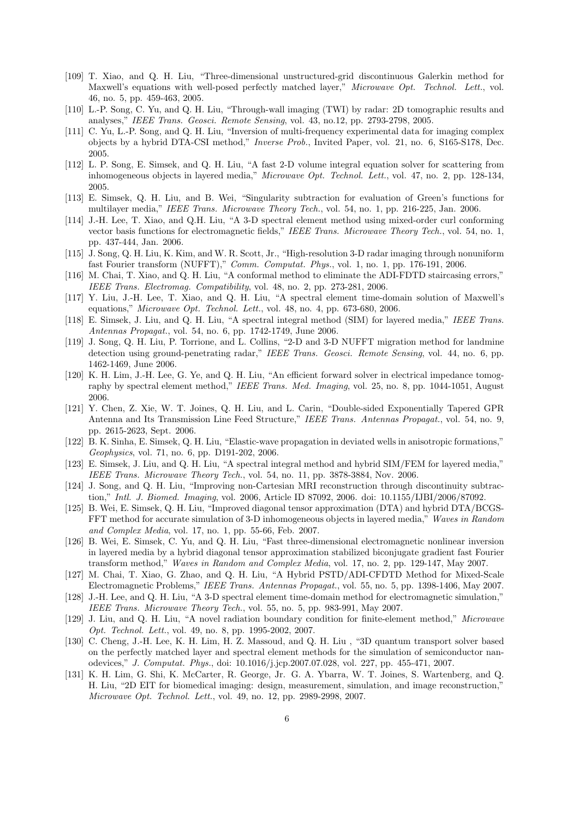- [109] T. Xiao, and Q. H. Liu, "Three-dimensional unstructured-grid discontinuous Galerkin method for Maxwell's equations with well-posed perfectly matched layer," *Microwave Opt. Technol. Lett.*, vol. 46, no. 5, pp. 459-463, 2005.
- [110] L.-P. Song, C. Yu, and Q. H. Liu, "Through-wall imaging (TWI) by radar: 2D tomographic results and analyses," *IEEE Trans. Geosci. Remote Sensing*, vol. 43, no.12, pp. 2793-2798, 2005.
- [111] C. Yu, L.-P. Song, and Q. H. Liu, "Inversion of multi-frequency experimental data for imaging complex objects by a hybrid DTA-CSI method," *Inverse Prob.*, Invited Paper, vol. 21, no. 6, S165-S178, Dec. 2005.
- [112] L. P. Song, E. Simsek, and Q. H. Liu, "A fast 2-D volume integral equation solver for scattering from inhomogeneous objects in layered media," *Microwave Opt. Technol. Lett.*, vol. 47, no. 2, pp. 128-134, 2005.
- [113] E. Simsek, Q. H. Liu, and B. Wei, "Singularity subtraction for evaluation of Green's functions for multilayer media," *IEEE Trans. Microwave Theory Tech.*, vol. 54, no. 1, pp. 216-225, Jan. 2006.
- [114] J.-H. Lee, T. Xiao, and Q.H. Liu, "A 3-D spectral element method using mixed-order curl conforming vector basis functions for electromagnetic fields," *IEEE Trans. Microwave Theory Tech.*, vol. 54, no. 1, pp. 437-444, Jan. 2006.
- [115] J. Song, Q. H. Liu, K. Kim, and W. R. Scott, Jr., "High-resolution 3-D radar imaging through nonuniform fast Fourier transform (NUFFT)," *Comm. Computat. Phys.*, vol. 1, no. 1, pp. 176-191, 2006.
- [116] M. Chai, T. Xiao, and Q. H. Liu, "A conformal method to eliminate the ADI-FDTD staircasing errors," *IEEE Trans. Electromag. Compatibility*, vol. 48, no. 2, pp. 273-281, 2006.
- [117] Y. Liu, J.-H. Lee, T. Xiao, and Q. H. Liu, "A spectral element time-domain solution of Maxwell's equations," *Microwave Opt. Technol. Lett.*, vol. 48, no. 4, pp. 673-680, 2006.
- [118] E. Simsek, J. Liu, and Q. H. Liu, "A spectral integral method (SIM) for layered media," *IEEE Trans. Antennas Propagat.*, vol. 54, no. 6, pp. 1742-1749, June 2006.
- [119] J. Song, Q. H. Liu, P. Torrione, and L. Collins, "2-D and 3-D NUFFT migration method for landmine detection using ground-penetrating radar," *IEEE Trans. Geosci. Remote Sensing*, vol. 44, no. 6, pp. 1462-1469, June 2006.
- [120] K. H. Lim, J.-H. Lee, G. Ye, and Q. H. Liu, "An efficient forward solver in electrical impedance tomography by spectral element method," *IEEE Trans. Med. Imaging*, vol. 25, no. 8, pp. 1044-1051, August 2006.
- [121] Y. Chen, Z. Xie, W. T. Joines, Q. H. Liu, and L. Carin, "Double-sided Exponentially Tapered GPR Antenna and Its Transmission Line Feed Structure," *IEEE Trans. Antennas Propagat.*, vol. 54, no. 9, pp. 2615-2623, Sept. 2006.
- [122] B. K. Sinha, E. Simsek, Q. H. Liu, "Elastic-wave propagation in deviated wells in anisotropic formations," *Geophysics*, vol. 71, no. 6, pp. D191-202, 2006.
- [123] E. Simsek, J. Liu, and Q. H. Liu, "A spectral integral method and hybrid SIM/FEM for layered media," *IEEE Trans. Microwave Theory Tech.*, vol. 54, no. 11, pp. 3878-3884, Nov. 2006.
- [124] J. Song, and Q. H. Liu, "Improving non-Cartesian MRI reconstruction through discontinuity subtraction," *Intl. J. Biomed. Imaging*, vol. 2006, Article ID 87092, 2006. doi: 10.1155/IJBI/2006/87092.
- [125] B. Wei, E. Simsek, Q. H. Liu, "Improved diagonal tensor approximation (DTA) and hybrid DTA/BCGS-FFT method for accurate simulation of 3-D inhomogeneous objects in layered media," *Waves in Random and Complex Media*, vol. 17, no. 1, pp. 55-66, Feb. 2007.
- [126] B. Wei, E. Simsek, C. Yu, and Q. H. Liu, "Fast three-dimensional electromagnetic nonlinear inversion in layered media by a hybrid diagonal tensor approximation stabilized biconjugate gradient fast Fourier transform method," *Waves in Random and Complex Media*, vol. 17, no. 2, pp. 129-147, May 2007.
- [127] M. Chai, T. Xiao, G. Zhao, and Q. H. Liu, "A Hybrid PSTD/ADI-CFDTD Method for Mixed-Scale Electromagnetic Problems," *IEEE Trans. Antennas Propagat.*, vol. 55, no. 5, pp. 1398-1406, May 2007.
- [128] J.-H. Lee, and Q. H. Liu, "A 3-D spectral element time-domain method for electromagnetic simulation," *IEEE Trans. Microwave Theory Tech.*, vol. 55, no. 5, pp. 983-991, May 2007.
- [129] J. Liu, and Q. H. Liu, "A novel radiation boundary condition for finite-element method," *Microwave Opt. Technol. Lett.*, vol. 49, no. 8, pp. 1995-2002, 2007.
- [130] C. Cheng, J.-H. Lee, K. H. Lim, H. Z. Massoud, and Q. H. Liu , "3D quantum transport solver based on the perfectly matched layer and spectral element methods for the simulation of semiconductor nanodevices," *J. Computat. Phys.*, doi: 10.1016/j.jcp.2007.07.028, vol. 227, pp. 455-471, 2007.
- [131] K. H. Lim, G. Shi, K. McCarter, R. George, Jr. G. A. Ybarra, W. T. Joines, S. Wartenberg, and Q. H. Liu, "2D EIT for biomedical imaging: design, measurement, simulation, and image reconstruction," *Microwave Opt. Technol. Lett.*, vol. 49, no. 12, pp. 2989-2998, 2007.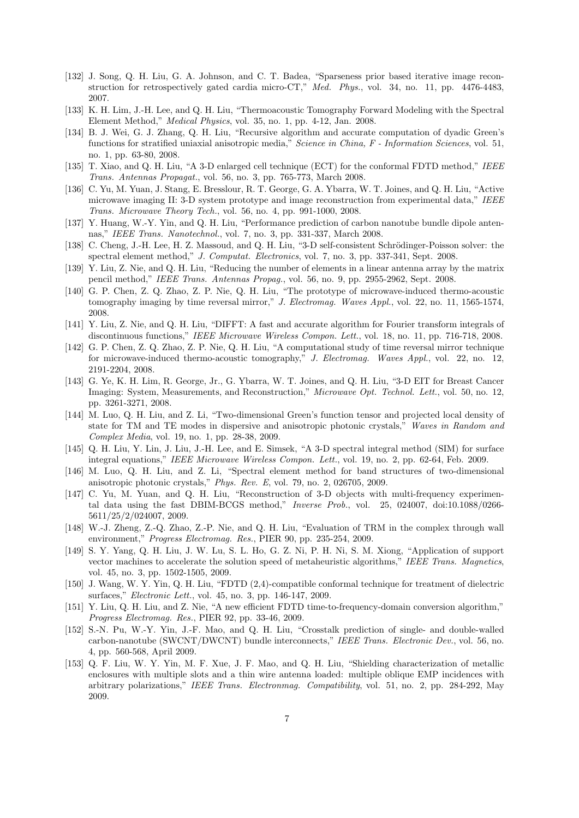- [132] J. Song, Q. H. Liu, G. A. Johnson, and C. T. Badea, "Sparseness prior based iterative image reconstruction for retrospectively gated cardia micro-CT," *Med. Phys.*, vol. 34, no. 11, pp. 4476-4483, 2007.
- [133] K. H. Lim, J.-H. Lee, and Q. H. Liu, "Thermoacoustic Tomography Forward Modeling with the Spectral Element Method," *Medical Physics*, vol. 35, no. 1, pp. 4-12, Jan. 2008.
- [134] B. J. Wei, G. J. Zhang, Q. H. Liu, "Recursive algorithm and accurate computation of dyadic Green's functions for stratified uniaxial anisotropic media," *Science in China, F - Information Sciences*, vol. 51, no. 1, pp. 63-80, 2008.
- [135] T. Xiao, and Q. H. Liu, "A 3-D enlarged cell technique (ECT) for the conformal FDTD method," *IEEE Trans. Antennas Propagat.*, vol. 56, no. 3, pp. 765-773, March 2008.
- [136] C. Yu, M. Yuan, J. Stang, E. Bresslour, R. T. George, G. A. Ybarra, W. T. Joines, and Q. H. Liu, "Active microwave imaging II: 3-D system prototype and image reconstruction from experimental data," *IEEE Trans. Microwave Theory Tech.*, vol. 56, no. 4, pp. 991-1000, 2008.
- [137] Y. Huang, W.-Y. Yin, and Q. H. Liu, "Performance prediction of carbon nanotube bundle dipole antennas," *IEEE Trans. Nanotechnol.*, vol. 7, no. 3, pp. 331-337, March 2008.
- [138] C. Cheng, J.-H. Lee, H. Z. Massoud, and Q. H. Liu, "3-D self-consistent Schrödinger-Poisson solver: the spectral element method," *J. Computat. Electronics*, vol. 7, no. 3, pp. 337-341, Sept. 2008.
- [139] Y. Liu, Z. Nie, and Q. H. Liu, "Reducing the number of elements in a linear antenna array by the matrix pencil method," *IEEE Trans. Antennas Propag.*, vol. 56, no. 9, pp. 2955-2962, Sept. 2008.
- [140] G. P. Chen, Z. Q. Zhao, Z. P. Nie, Q. H. Liu, "The prototype of microwave-induced thermo-acoustic tomography imaging by time reversal mirror," *J. Electromag. Waves Appl.*, vol. 22, no. 11, 1565-1574, 2008.
- [141] Y. Liu, Z. Nie, and Q. H. Liu, "DIFFT: A fast and accurate algorithm for Fourier transform integrals of discontinuous functions," *IEEE Microwave Wireless Compon. Lett.*, vol. 18, no. 11, pp. 716-718, 2008.
- [142] G. P. Chen, Z. Q. Zhao, Z. P. Nie, Q. H. Liu, "A computational study of time reversal mirror technique for microwave-induced thermo-acoustic tomography," *J. Electromag. Waves Appl.*, vol. 22, no. 12, 2191-2204, 2008.
- [143] G. Ye, K. H. Lim, R. George, Jr., G. Ybarra, W. T. Joines, and Q. H. Liu, "3-D EIT for Breast Cancer Imaging: System, Measurements, and Reconstruction," *Microwave Opt. Technol. Lett.*, vol. 50, no. 12, pp. 3261-3271, 2008.
- [144] M. Luo, Q. H. Liu, and Z. Li, "Two-dimensional Green's function tensor and projected local density of state for TM and TE modes in dispersive and anisotropic photonic crystals," *Waves in Random and Complex Media*, vol. 19, no. 1, pp. 28-38, 2009.
- [145] Q. H. Liu, Y. Lin, J. Liu, J.-H. Lee, and E. Simsek, "A 3-D spectral integral method (SIM) for surface integral equations," *IEEE Microwave Wireless Compon. Lett.*, vol. 19, no. 2, pp. 62-64, Feb. 2009.
- [146] M. Luo, Q. H. Liu, and Z. Li, "Spectral element method for band structures of two-dimensional anisotropic photonic crystals," *Phys. Rev. E*, vol. 79, no. 2, 026705, 2009.
- [147] C. Yu, M. Yuan, and Q. H. Liu, "Reconstruction of 3-D objects with multi-frequency experimental data using the fast DBIM-BCGS method," *Inverse Prob.*, vol. 25, 024007, doi:10.1088/0266- 5611/25/2/024007, 2009.
- [148] W.-J. Zheng, Z.-Q. Zhao, Z.-P. Nie, and Q. H. Liu, "Evaluation of TRM in the complex through wall environment," *Progress Electromag. Res.*, PIER 90, pp. 235-254, 2009.
- [149] S. Y. Yang, Q. H. Liu, J. W. Lu, S. L. Ho, G. Z. Ni, P. H. Ni, S. M. Xiong, "Application of support vector machines to accelerate the solution speed of metaheuristic algorithms," *IEEE Trans. Magnetics*, vol. 45, no. 3, pp. 1502-1505, 2009.
- [150] J. Wang, W. Y. Yin, Q. H. Liu, "FDTD (2,4)-compatible conformal technique for treatment of dielectric surfaces," *Electronic Lett.*, vol. 45, no. 3, pp. 146-147, 2009.
- [151] Y. Liu, Q. H. Liu, and Z. Nie, "A new efficient FDTD time-to-frequency-domain conversion algorithm," *Progress Electromag. Res.*, PIER 92, pp. 33-46, 2009.
- [152] S.-N. Pu, W.-Y. Yin, J.-F. Mao, and Q. H. Liu, "Crosstalk prediction of single- and double-walled carbon-nanotube (SWCNT/DWCNT) bundle interconnects," *IEEE Trans. Electronic Dev.*, vol. 56, no. 4, pp. 560-568, April 2009.
- [153] Q. F. Liu, W. Y. Yin, M. F. Xue, J. F. Mao, and Q. H. Liu, "Shielding characterization of metallic enclosures with multiple slots and a thin wire antenna loaded: multiple oblique EMP incidences with arbitrary polarizations," *IEEE Trans. Electronmag. Compatibility*, vol. 51, no. 2, pp. 284-292, May 2009.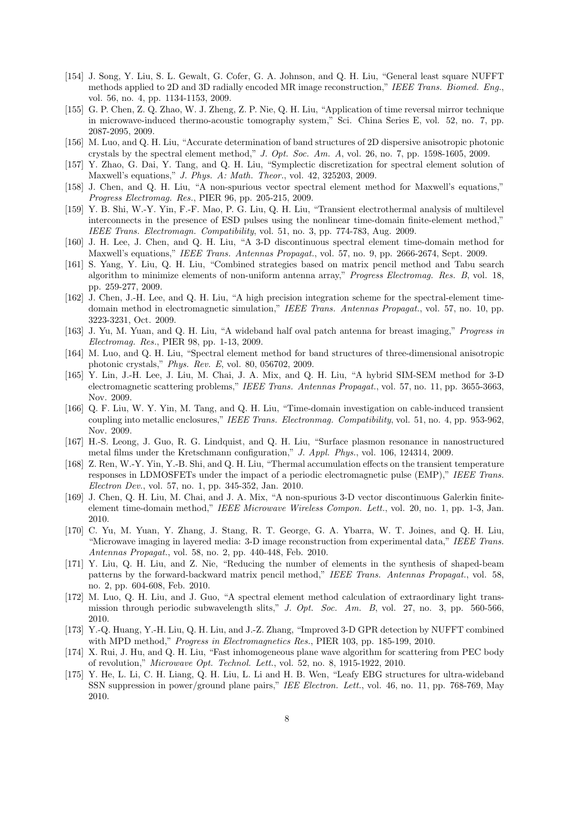- [154] J. Song, Y. Liu, S. L. Gewalt, G. Cofer, G. A. Johnson, and Q. H. Liu, "General least square NUFFT methods applied to 2D and 3D radially encoded MR image reconstruction," *IEEE Trans. Biomed. Eng.*, vol. 56, no. 4, pp. 1134-1153, 2009.
- [155] G. P. Chen, Z. Q. Zhao, W. J. Zheng, Z. P. Nie, Q. H. Liu, "Application of time reversal mirror technique in microwave-induced thermo-acoustic tomography system," Sci. China Series E, vol. 52, no. 7, pp. 2087-2095, 2009.
- [156] M. Luo, and Q. H. Liu, "Accurate determination of band structures of 2D dispersive anisotropic photonic crystals by the spectral element method," *J. Opt. Soc. Am. A*, vol. 26, no. 7, pp. 1598-1605, 2009.
- [157] Y. Zhao, G. Dai, Y. Tang, and Q. H. Liu, "Symplectic discretization for spectral element solution of Maxwell's equations," *J. Phys. A: Math. Theor.*, vol. 42, 325203, 2009.
- [158] J. Chen, and Q. H. Liu, "A non-spurious vector spectral element method for Maxwell's equations," *Progress Electromag. Res.*, PIER 96, pp. 205-215, 2009.
- [159] Y. B. Shi, W.-Y. Yin, F.-F. Mao, P. G. Liu, Q. H. Liu, "Transient electrothermal analysis of multilevel interconnects in the presence of ESD pulses using the nonlinear time-domain finite-element method," *IEEE Trans. Electromagn. Compatibility*, vol. 51, no. 3, pp. 774-783, Aug. 2009.
- [160] J. H. Lee, J. Chen, and Q. H. Liu, "A 3-D discontinuous spectral element time-domain method for Maxwell's equations," *IEEE Trans. Antennas Propagat.*, vol. 57, no. 9, pp. 2666-2674, Sept. 2009.
- [161] S. Yang, Y. Liu, Q. H. Liu, "Combined strategies based on matrix pencil method and Tabu search algorithm to minimize elements of non-uniform antenna array," *Progress Electromag. Res. B*, vol. 18, pp. 259-277, 2009.
- [162] J. Chen, J.-H. Lee, and Q. H. Liu, "A high precision integration scheme for the spectral-element timedomain method in electromagnetic simulation," *IEEE Trans. Antennas Propagat.*, vol. 57, no. 10, pp. 3223-3231, Oct. 2009.
- [163] J. Yu, M. Yuan, and Q. H. Liu, "A wideband half oval patch antenna for breast imaging," *Progress in Electromag. Res.*, PIER 98, pp. 1-13, 2009.
- [164] M. Luo, and Q. H. Liu, "Spectral element method for band structures of three-dimensional anisotropic photonic crystals," *Phys. Rev. E*, vol. 80, 056702, 2009.
- [165] Y. Lin, J.-H. Lee, J. Liu, M. Chai, J. A. Mix, and Q. H. Liu, "A hybrid SIM-SEM method for 3-D electromagnetic scattering problems," *IEEE Trans. Antennas Propagat.*, vol. 57, no. 11, pp. 3655-3663, Nov. 2009.
- [166] Q. F. Liu, W. Y. Yin, M. Tang, and Q. H. Liu, "Time-domain investigation on cable-induced transient coupling into metallic enclosures," *IEEE Trans. Electronmag. Compatibility*, vol. 51, no. 4, pp. 953-962, Nov. 2009.
- [167] H.-S. Leong, J. Guo, R. G. Lindquist, and Q. H. Liu, "Surface plasmon resonance in nanostructured metal films under the Kretschmann configuration," *J. Appl. Phys.*, vol. 106, 124314, 2009.
- [168] Z. Ren, W.-Y. Yin, Y.-B. Shi, and Q. H. Liu, "Thermal accumulation effects on the transient temperature responses in LDMOSFETs under the impact of a periodic electromagnetic pulse (EMP)," *IEEE Trans. Electron Dev.*, vol. 57, no. 1, pp. 345-352, Jan. 2010.
- [169] J. Chen, Q. H. Liu, M. Chai, and J. A. Mix, "A non-spurious 3-D vector discontinuous Galerkin finiteelement time-domain method," *IEEE Microwave Wireless Compon. Lett.*, vol. 20, no. 1, pp. 1-3, Jan. 2010.
- [170] C. Yu, M. Yuan, Y. Zhang, J. Stang, R. T. George, G. A. Ybarra, W. T. Joines, and Q. H. Liu, "Microwave imaging in layered media: 3-D image reconstruction from experimental data," *IEEE Trans. Antennas Propagat.*, vol. 58, no. 2, pp. 440-448, Feb. 2010.
- [171] Y. Liu, Q. H. Liu, and Z. Nie, "Reducing the number of elements in the synthesis of shaped-beam patterns by the forward-backward matrix pencil method," *IEEE Trans. Antennas Propagat.*, vol. 58, no. 2, pp. 604-608, Feb. 2010.
- [172] M. Luo, Q. H. Liu, and J. Guo, "A spectral element method calculation of extraordinary light transmission through periodic subwavelength slits," *J. Opt. Soc. Am. B*, vol. 27, no. 3, pp. 560-566, 2010.
- [173] Y.-Q. Huang, Y.-H. Liu, Q. H. Liu, and J.-Z. Zhang, "Improved 3-D GPR detection by NUFFT combined with MPD method," *Progress in Electromagnetics Res.*, PIER 103, pp. 185-199, 2010.
- [174] X. Rui, J. Hu, and Q. H. Liu, "Fast inhomogeneous plane wave algorithm for scattering from PEC body of revolution," *Microwave Opt. Technol. Lett.*, vol. 52, no. 8, 1915-1922, 2010.
- [175] Y. He, L. Li, C. H. Liang, Q. H. Liu, L. Li and H. B. Wen, "Leafy EBG structures for ultra-wideband SSN suppression in power/ground plane pairs," *IEE Electron. Lett.*, vol. 46, no. 11, pp. 768-769, May 2010.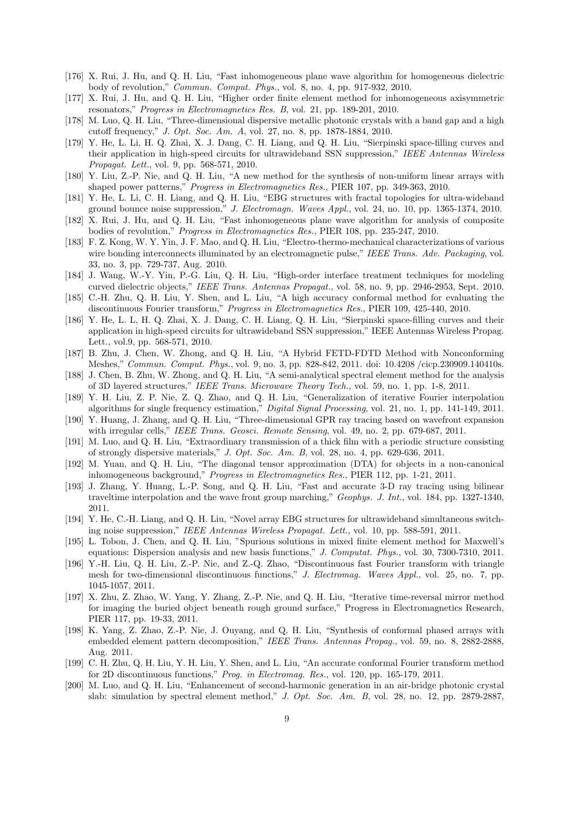- [176] X. Rui, J. Hu, and Q. H. Liu, "Fast inhomogeneous plane wave algorithm for homogeneous dielectric body of revolution," *Commun. Comput. Phys.*, vol. 8, no. 4, pp. 917-932, 2010.
- [177] X. Rui, J. Hu, and Q. H. Liu, "Higher order finite element method for inhomogeneous axisymmetric resonators," *Progress in Electromagnetics Res. B*, vol. 21, pp. 189-201, 2010.
- [178] M. Luo, Q. H. Liu, "Three-dimensional dispersive metallic photonic crystals with a band gap and a high cutoff frequency," *J. Opt. Soc. Am. A*, vol. 27, no. 8, pp. 1878-1884, 2010.
- [179] Y. He, L. Li, H. Q. Zhai, X. J. Dang, C. H. Liang, and Q. H. Liu, "Sierpinski space-filling curves and their application in high-speed circuits for ultrawideband SSN suppression," *IEEE Antennas Wireless Propagat. Lett.*, vol. 9, pp. 568-571, 2010.
- [180] Y. Liu, Z.-P. Nie, and Q. H. Liu, "A new method for the synthesis of non-uniform linear arrays with shaped power patterns," *Progress in Electromagnetics Res.*, PIER 107, pp. 349-363, 2010.
- [181] Y. He, L. Li, C. H. Liang, and Q. H. Liu, "EBG structures with fractal topologies for ultra-wideband ground bounce noise suppression," *J. Electromagn. Waves Appl.*, vol. 24, no. 10, pp. 1365-1374, 2010.
- [182] X. Rui, J. Hu, and Q. H. Liu, "Fast inhomogeneous plane wave algorithm for analysis of composite bodies of revolution," *Progress in Electromagnetics Res.*, PIER 108, pp. 235-247, 2010.
- [183] F. Z. Kong, W. Y. Yin, J. F. Mao, and Q. H. Liu, "Electro-thermo-mechanical characterizations of various wire bonding interconnects illuminated by an electromagnetic pulse," *IEEE Trans. Adv. Packaging*, vol. 33, no. 3, pp. 729-737, Aug. 2010.
- [184] J. Wang, W.-Y. Yin, P.-G. Liu, Q. H. Liu, "High-order interface treatment techniques for modeling curved dielectric objects," *IEEE Trans. Antennas Propagat.*, vol. 58, no. 9, pp. 2946-2953, Sept. 2010.
- [185] C.-H. Zhu, Q. H. Liu, Y. Shen, and L. Liu, "A high accuracy conformal method for evaluating the discontinuous Fourier transform," *Progress in Electromagnetics Res.*, PIER 109, 425-440, 2010.
- [186] Y. He, L. L, H. Q. Zhai, X. J. Dang, C. H. Liang, Q. H. Liu, "Sierpinski space-filling curves and their application in high-speed circuits for ultrawideband SSN suppression," IEEE Antennas Wireless Propag. Lett., vol.9, pp. 568-571, 2010.
- [187] B. Zhu, J. Chen, W. Zhong, and Q. H. Liu, "A Hybrid FETD-FDTD Method with Nonconforming Meshes," *Commun. Comput. Phys.*, vol. 9, no. 3, pp. 828-842, 2011. doi: 10.4208 /cicp.230909.140410s.
- [188] J. Chen, B. Zhu, W. Zhong, and Q. H. Liu, "A semi-analytical spectral element method for the analysis of 3D layered structures," *IEEE Trans. Microwave Theory Tech.*, vol. 59, no. 1, pp. 1-8, 2011.
- [189] Y. H. Liu, Z. P. Nie, Z. Q. Zhao, and Q. H. Liu, "Generalization of iterative Fourier interpolation algorithms for single frequency estimation," *Digital Signal Processing*, vol. 21, no. 1, pp. 141-149, 2011.
- [190] Y. Huang, J. Zhang, and Q. H. Liu, "Three-dimensional GPR ray tracing based on wavefront expansion with irregular cells," *IEEE Trans. Geosci. Remote Sensing*, vol. 49, no. 2, pp. 679-687, 2011.
- [191] M. Luo, and Q. H. Liu, "Extraordinary transmission of a thick film with a periodic structure consisting of strongly dispersive materials," *J. Opt. Soc. Am. B*, vol. 28, no. 4, pp. 629-636, 2011.
- [192] M. Yuan, and Q. H. Liu, "The diagonal tensor approximation (DTA) for objects in a non-canonical inhomogeneous background," *Progress in Electromagnetics Res.*, PIER 112, pp. 1-21, 2011.
- [193] J. Zhang, Y. Huang, L.-P. Song, and Q. H. Liu, "Fast and accurate 3-D ray tracing using bilinear traveltime interpolation and the wave front group marching," *Geophys. J. Int.*, vol. 184, pp. 1327-1340, 2011.
- [194] Y. He, C.-H. Liang, and Q. H. Liu, "Novel array EBG structures for ultrawideband simultaneous switching noise suppression," *IEEE Antennas Wireless Propagat. Lett.*, vol. 10, pp. 588-591, 2011.
- [195] L. Tobon, J. Chen, and Q. H. Liu, "Spurious solutions in mixed finite element method for Maxwell's equations: Dispersion analysis and new basis functions," *J. Computat. Phys.*, vol. 30, 7300-7310, 2011.
- [196] Y.-H. Liu, Q. H. Liu, Z.-P. Nie, and Z.-Q. Zhao, "Discontinuous fast Fourier transform with triangle mesh for two-dimensional discontinuous functions," *J. Electromag. Waves Appl.*, vol. 25, no. 7, pp. 1045-1057, 2011.
- [197] X. Zhu, Z. Zhao, W. Yang, Y. Zhang, Z.-P. Nie, and Q. H. Liu, "Iterative time-reversal mirror method for imaging the buried object beneath rough ground surface," Progress in Electromagnetics Research, PIER 117, pp. 19-33, 2011.
- [198] K. Yang, Z. Zhao, Z.-P. Nie, J. Ouyang, and Q. H. Liu, "Synthesis of conformal phased arrays with embedded element pattern decomposition," *IEEE Trans. Antennas Propag.*, vol. 59, no. 8, 2882-2888, Aug. 2011.
- [199] C. H. Zhu, Q. H. Liu, Y. H. Liu, Y. Shen, and L. Liu, "An accurate conformal Fourier transform method for 2D discontinuous functions," *Prog. in Electromag. Res.*, vol. 120, pp. 165-179, 2011.
- [200] M. Luo, and Q. H. Liu, "Enhancement of second-harmonic generation in an air-bridge photonic crystal slab: simulation by spectral element method," *J. Opt. Soc. Am. B*, vol. 28, no. 12, pp. 2879-2887,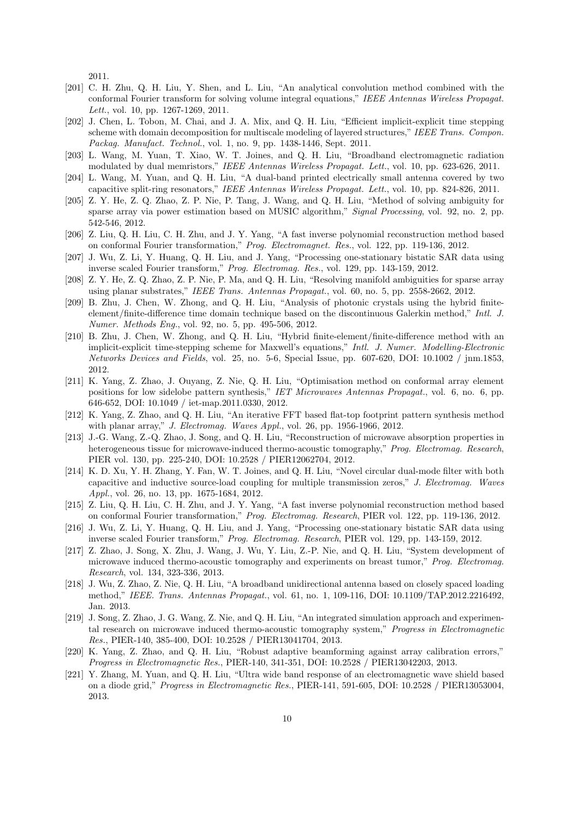2011.

- [201] C. H. Zhu, Q. H. Liu, Y. Shen, and L. Liu, "An analytical convolution method combined with the conformal Fourier transform for solving volume integral equations," *IEEE Antennas Wireless Propagat. Lett.*, vol. 10, pp. 1267-1269, 2011.
- [202] J. Chen, L. Tobon, M. Chai, and J. A. Mix, and Q. H. Liu, "Efficient implicit-explicit time stepping scheme with domain decomposition for multiscale modeling of layered structures," *IEEE Trans. Compon. Packag. Manufact. Technol.*, vol. 1, no. 9, pp. 1438-1446, Sept. 2011.
- [203] L. Wang, M. Yuan, T. Xiao, W. T. Joines, and Q. H. Liu, "Broadband electromagnetic radiation modulated by dual memristors," *IEEE Antennas Wireless Propagat. Lett.*, vol. 10, pp. 623-626, 2011.
- [204] L. Wang, M. Yuan, and Q. H. Liu, "A dual-band printed electrically small antenna covered by two capacitive split-ring resonators," *IEEE Antennas Wireless Propagat. Lett.*, vol. 10, pp. 824-826, 2011.
- [205] Z. Y. He, Z. Q. Zhao, Z. P. Nie, P. Tang, J. Wang, and Q. H. Liu, "Method of solving ambiguity for sparse array via power estimation based on MUSIC algorithm," *Signal Processing*, vol. 92, no. 2, pp. 542-546, 2012.
- [206] Z. Liu, Q. H. Liu, C. H. Zhu, and J. Y. Yang, "A fast inverse polynomial reconstruction method based on conformal Fourier transformation," *Prog. Electromagnet. Res.*, vol. 122, pp. 119-136, 2012.
- [207] J. Wu, Z. Li, Y. Huang, Q. H. Liu, and J. Yang, "Processing one-stationary bistatic SAR data using inverse scaled Fourier transform," *Prog. Electromag. Res.*, vol. 129, pp. 143-159, 2012.
- [208] Z. Y. He, Z. Q. Zhao, Z. P. Nie, P. Ma, and Q. H. Liu, "Resolving manifold ambiguities for sparse array using planar substrates," *IEEE Trans. Antennas Propagat.*, vol. 60, no. 5, pp. 2558-2662, 2012.
- [209] B. Zhu, J. Chen, W. Zhong, and Q. H. Liu, "Analysis of photonic crystals using the hybrid finiteelement/finite-difference time domain technique based on the discontinuous Galerkin method," *Intl. J. Numer. Methods Eng.*, vol. 92, no. 5, pp. 495-506, 2012.
- [210] B. Zhu, J. Chen, W. Zhong, and Q. H. Liu, "Hybrid finite-element/finite-difference method with an implicit-explicit time-stepping scheme for Maxwell's equations," *Intl. J. Numer. Modelling-Electronic Networks Devices and Fields*, vol. 25, no. 5-6, Special Issue, pp. 607-620, DOI: 10.1002 / jnm.1853, 2012.
- [211] K. Yang, Z. Zhao, J. Ouyang, Z. Nie, Q. H. Liu, "Optimisation method on conformal array element positions for low sidelobe pattern synthesis," *IET Microwaves Antennas Propagat.*, vol. 6, no. 6, pp. 646-652, DOI: 10.1049 / iet-map.2011.0330, 2012.
- [212] K. Yang, Z. Zhao, and Q. H. Liu, "An iterative FFT based flat-top footprint pattern synthesis method with planar array," *J. Electromag. Waves Appl.*, vol. 26, pp. 1956-1966, 2012.
- [213] J.-G. Wang, Z.-Q. Zhao, J. Song, and Q. H. Liu, "Reconstruction of microwave absorption properties in heterogeneous tissue for microwave-induced thermo-acoustic tomography," *Prog. Electromag. Research*, PIER vol. 130, pp. 225-240, DOI: 10.2528 / PIER12062704, 2012.
- [214] K. D. Xu, Y. H. Zhang, Y. Fan, W. T. Joines, and Q. H. Liu, "Novel circular dual-mode filter with both capacitive and inductive source-load coupling for multiple transmission zeros," *J. Electromag. Waves Appl.*, vol. 26, no. 13, pp. 1675-1684, 2012.
- [215] Z. Liu, Q. H. Liu, C. H. Zhu, and J. Y. Yang, "A fast inverse polynomial reconstruction method based on conformal Fourier transformation," *Prog. Electromag. Research*, PIER vol. 122, pp. 119-136, 2012.
- [216] J. Wu, Z. Li, Y. Huang, Q. H. Liu, and J. Yang, "Processing one-stationary bistatic SAR data using inverse scaled Fourier transform," *Prog. Electromag. Research*, PIER vol. 129, pp. 143-159, 2012.
- [217] Z. Zhao, J. Song, X. Zhu, J. Wang, J. Wu, Y. Liu, Z.-P. Nie, and Q. H. Liu, "System development of microwave induced thermo-acoustic tomography and experiments on breast tumor," *Prog. Electromag. Research*, vol. 134, 323-336, 2013.
- [218] J. Wu, Z. Zhao, Z. Nie, Q. H. Liu, "A broadband unidirectional antenna based on closely spaced loading method," *IEEE. Trans. Antennas Propagat.*, vol. 61, no. 1, 109-116, DOI: 10.1109/TAP.2012.2216492, Jan. 2013.
- [219] J. Song, Z. Zhao, J. G. Wang, Z. Nie, and Q. H. Liu, "An integrated simulation approach and experimental research on microwave induced thermo-acoustic tomography system," *Progress in Electromagnetic Res.*, PIER-140, 385-400, DOI: 10.2528 / PIER13041704, 2013.
- [220] K. Yang, Z. Zhao, and Q. H. Liu, "Robust adaptive beamforming against array calibration errors," *Progress in Electromagnetic Res.*, PIER-140, 341-351, DOI: 10.2528 / PIER13042203, 2013.
- [221] Y. Zhang, M. Yuan, and Q. H. Liu, "Ultra wide band response of an electromagnetic wave shield based on a diode grid," *Progress in Electromagnetic Res.*, PIER-141, 591-605, DOI: 10.2528 / PIER13053004, 2013.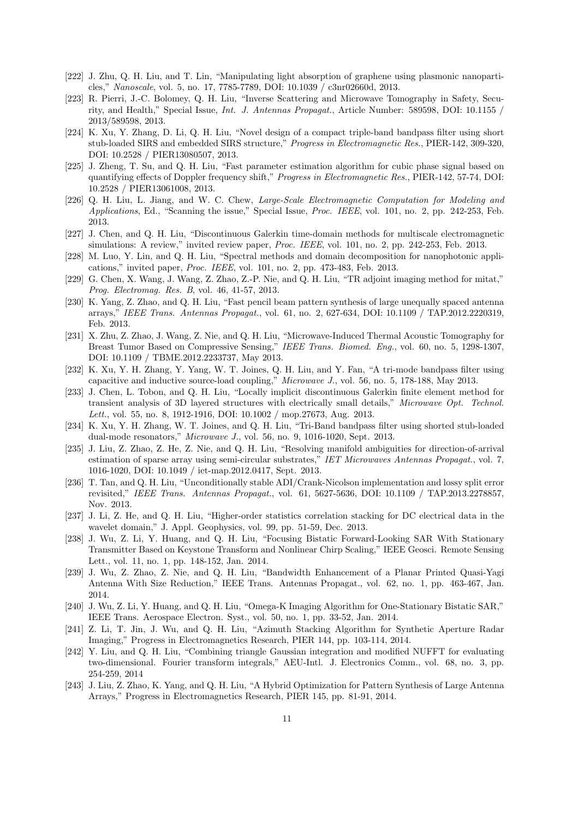- [222] J. Zhu, Q. H. Liu, and T. Lin, "Manipulating light absorption of graphene using plasmonic nanoparticles," *Nanoscale*, vol. 5, no. 17, 7785-7789, DOI: 10.1039 / c3nr02660d, 2013.
- [223] R. Pierri, J.-C. Bolomey, Q. H. Liu, "Inverse Scattering and Microwave Tomography in Safety, Security, and Health," Special Issue, *Int. J. Antennas Propagat.*, Article Number: 589598, DOI: 10.1155 / 2013/589598, 2013.
- [224] K. Xu, Y. Zhang, D. Li, Q. H. Liu, "Novel design of a compact triple-band bandpass filter using short stub-loaded SIRS and embedded SIRS structure," *Progress in Electromagnetic Res.*, PIER-142, 309-320, DOI: 10.2528 / PIER13080507, 2013.
- [225] J. Zheng, T. Su, and Q. H. Liu, "Fast parameter estimation algorithm for cubic phase signal based on quantifying effects of Doppler frequency shift," *Progress in Electromagnetic Res.*, PIER-142, 57-74, DOI: 10.2528 / PIER13061008, 2013.
- [226] Q. H. Liu, L. Jiang, and W. C. Chew, *Large-Scale Electromagnetic Computation for Modeling and Applications*, Ed., "Scanning the issue," Special Issue, *Proc. IEEE*, vol. 101, no. 2, pp. 242-253, Feb. 2013.
- [227] J. Chen, and Q. H. Liu, "Discontinuous Galerkin time-domain methods for multiscale electromagnetic simulations: A review," invited review paper, *Proc. IEEE*, vol. 101, no. 2, pp. 242-253, Feb. 2013.
- [228] M. Luo, Y. Lin, and Q. H. Liu, "Spectral methods and domain decomposition for nanophotonic applications," invited paper, *Proc. IEEE*, vol. 101, no. 2, pp. 473-483, Feb. 2013.
- [229] G. Chen, X. Wang, J. Wang, Z. Zhao, Z.-P. Nie, and Q. H. Liu, "TR adjoint imaging method for mitat," *Prog. Electromag. Res. B*, vol. 46, 41-57, 2013.
- [230] K. Yang, Z. Zhao, and Q. H. Liu, "Fast pencil beam pattern synthesis of large unequally spaced antenna arrays," *IEEE Trans. Antennas Propagat.*, vol. 61, no. 2, 627-634, DOI: 10.1109 / TAP.2012.2220319, Feb. 2013.
- [231] X. Zhu, Z. Zhao, J. Wang, Z. Nie, and Q. H. Liu, "Microwave-Induced Thermal Acoustic Tomography for Breast Tumor Based on Compressive Sensing," *IEEE Trans. Biomed. Eng.*, vol. 60, no. 5, 1298-1307, DOI: 10.1109 / TBME.2012.2233737, May 2013.
- [232] K. Xu, Y. H. Zhang, Y. Yang, W. T. Joines, Q. H. Liu, and Y. Fan, "A tri-mode bandpass filter using capacitive and inductive source-load coupling," *Microwave J.*, vol. 56, no. 5, 178-188, May 2013.
- [233] J. Chen, L. Tobon, and Q. H. Liu, "Locally implicit discontinuous Galerkin finite element method for transient analysis of 3D layered structures with electrically small details," *Microwave Opt. Technol. Lett.*, vol. 55, no. 8, 1912-1916, DOI: 10.1002 / mop.27673, Aug. 2013.
- [234] K. Xu, Y. H. Zhang, W. T. Joines, and Q. H. Liu, "Tri-Band bandpass filter using shorted stub-loaded dual-mode resonators," *Microwave J.*, vol. 56, no. 9, 1016-1020, Sept. 2013.
- [235] J. Liu, Z. Zhao, Z. He, Z. Nie, and Q. H. Liu, "Resolving manifold ambiguities for direction-of-arrival estimation of sparse array using semi-circular substrates," *IET Microwaves Antennas Propagat.*, vol. 7, 1016-1020, DOI: 10.1049 / iet-map.2012.0417, Sept. 2013.
- [236] T. Tan, and Q. H. Liu, "Unconditionally stable ADI/Crank-Nicolson implementation and lossy split error revisited," *IEEE Trans. Antennas Propagat.*, vol. 61, 5627-5636, DOI: 10.1109 / TAP.2013.2278857, Nov. 2013.
- [237] J. Li, Z. He, and Q. H. Liu, "Higher-order statistics correlation stacking for DC electrical data in the wavelet domain," J. Appl. Geophysics, vol. 99, pp. 51-59, Dec. 2013.
- [238] J. Wu, Z. Li, Y. Huang, and Q. H. Liu, "Focusing Bistatic Forward-Looking SAR With Stationary Transmitter Based on Keystone Transform and Nonlinear Chirp Scaling," IEEE Geosci. Remote Sensing Lett., vol. 11, no. 1, pp. 148-152, Jan. 2014.
- [239] J. Wu, Z. Zhao, Z. Nie, and Q. H. Liu, "Bandwidth Enhancement of a Planar Printed Quasi-Yagi Antenna With Size Reduction," IEEE Trans. Antennas Propagat., vol. 62, no. 1, pp. 463-467, Jan. 2014.
- [240] J. Wu, Z. Li, Y. Huang, and Q. H. Liu, "Omega-K Imaging Algorithm for One-Stationary Bistatic SAR," IEEE Trans. Aerospace Electron. Syst., vol. 50, no. 1, pp. 33-52, Jan. 2014.
- [241] Z. Li, T. Jin, J. Wu, and Q. H. Liu, "Azimuth Stacking Algorithm for Synthetic Aperture Radar Imaging," Progress in Electromagnetics Research, PIER 144, pp. 103-114, 2014.
- [242] Y. Liu, and Q. H. Liu, "Combining triangle Gaussian integration and modified NUFFT for evaluating two-dimensional. Fourier transform integrals," AEU-Intl. J. Electronics Comm., vol. 68, no. 3, pp. 254-259, 2014
- [243] J. Liu, Z. Zhao, K. Yang, and Q. H. Liu, "A Hybrid Optimization for Pattern Synthesis of Large Antenna Arrays," Progress in Electromagnetics Research, PIER 145, pp. 81-91, 2014.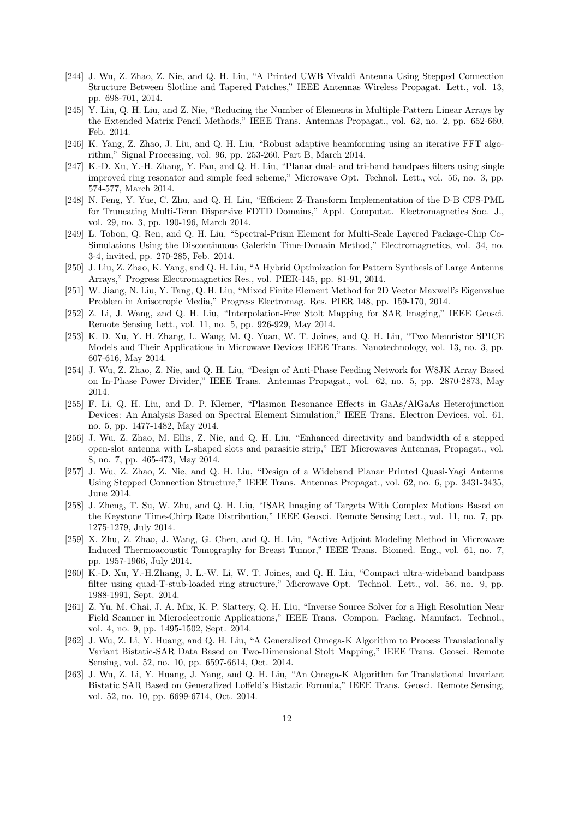- [244] J. Wu, Z. Zhao, Z. Nie, and Q. H. Liu, "A Printed UWB Vivaldi Antenna Using Stepped Connection Structure Between Slotline and Tapered Patches," IEEE Antennas Wireless Propagat. Lett., vol. 13, pp. 698-701, 2014.
- [245] Y. Liu, Q. H. Liu, and Z. Nie, "Reducing the Number of Elements in Multiple-Pattern Linear Arrays by the Extended Matrix Pencil Methods," IEEE Trans. Antennas Propagat., vol. 62, no. 2, pp. 652-660, Feb. 2014.
- [246] K. Yang, Z. Zhao, J. Liu, and Q. H. Liu, "Robust adaptive beamforming using an iterative FFT algorithm," Signal Processing, vol. 96, pp. 253-260, Part B, March 2014.
- [247] K.-D. Xu, Y.-H. Zhang, Y. Fan, and Q. H. Liu, "Planar dual- and tri-band bandpass filters using single improved ring resonator and simple feed scheme," Microwave Opt. Technol. Lett., vol. 56, no. 3, pp. 574-577, March 2014.
- [248] N. Feng, Y. Yue, C. Zhu, and Q. H. Liu, "Efficient Z-Transform Implementation of the D-B CFS-PML for Truncating Multi-Term Dispersive FDTD Domains," Appl. Computat. Electromagnetics Soc. J., vol. 29, no. 3, pp. 190-196, March 2014.
- [249] L. Tobon, Q. Ren, and Q. H. Liu, "Spectral-Prism Element for Multi-Scale Layered Package-Chip Co-Simulations Using the Discontinuous Galerkin Time-Domain Method," Electromagnetics, vol. 34, no. 3-4, invited, pp. 270-285, Feb. 2014.
- [250] J. Liu, Z. Zhao, K. Yang, and Q. H. Liu, "A Hybrid Optimization for Pattern Synthesis of Large Antenna Arrays," Progress Electromagnetics Res., vol. PIER-145, pp. 81-91, 2014.
- [251] W. Jiang, N. Liu, Y. Tang, Q. H. Liu, "Mixed Finite Element Method for 2D Vector Maxwell's Eigenvalue Problem in Anisotropic Media," Progress Electromag. Res. PIER 148, pp. 159-170, 2014.
- [252] Z. Li, J. Wang, and Q. H. Liu, "Interpolation-Free Stolt Mapping for SAR Imaging," IEEE Geosci. Remote Sensing Lett., vol. 11, no. 5, pp. 926-929, May 2014.
- [253] K. D. Xu, Y. H. Zhang, L. Wang, M. Q. Yuan, W. T. Joines, and Q. H. Liu, "Two Memristor SPICE Models and Their Applications in Microwave Devices IEEE Trans. Nanotechnology, vol. 13, no. 3, pp. 607-616, May 2014.
- [254] J. Wu, Z. Zhao, Z. Nie, and Q. H. Liu, "Design of Anti-Phase Feeding Network for W8JK Array Based on In-Phase Power Divider," IEEE Trans. Antennas Propagat., vol. 62, no. 5, pp. 2870-2873, May 2014.
- [255] F. Li, Q. H. Liu, and D. P. Klemer, "Plasmon Resonance Effects in GaAs/AlGaAs Heterojunction Devices: An Analysis Based on Spectral Element Simulation," IEEE Trans. Electron Devices, vol. 61, no. 5, pp. 1477-1482, May 2014.
- [256] J. Wu, Z. Zhao, M. Ellis, Z. Nie, and Q. H. Liu, "Enhanced directivity and bandwidth of a stepped open-slot antenna with L-shaped slots and parasitic strip," IET Microwaves Antennas, Propagat., vol. 8, no. 7, pp. 465-473, May 2014.
- [257] J. Wu, Z. Zhao, Z. Nie, and Q. H. Liu, "Design of a Wideband Planar Printed Quasi-Yagi Antenna Using Stepped Connection Structure," IEEE Trans. Antennas Propagat., vol. 62, no. 6, pp. 3431-3435, June 2014.
- [258] J. Zheng, T. Su, W. Zhu, and Q. H. Liu, "ISAR Imaging of Targets With Complex Motions Based on the Keystone Time-Chirp Rate Distribution," IEEE Geosci. Remote Sensing Lett., vol. 11, no. 7, pp. 1275-1279, July 2014.
- [259] X. Zhu, Z. Zhao, J. Wang, G. Chen, and Q. H. Liu, "Active Adjoint Modeling Method in Microwave Induced Thermoacoustic Tomography for Breast Tumor," IEEE Trans. Biomed. Eng., vol. 61, no. 7, pp. 1957-1966, July 2014.
- [260] K.-D. Xu, Y.-H.Zhang, J. L.-W. Li, W. T. Joines, and Q. H. Liu, "Compact ultra-wideband bandpass filter using quad-T-stub-loaded ring structure," Microwave Opt. Technol. Lett., vol. 56, no. 9, pp. 1988-1991, Sept. 2014.
- [261] Z. Yu, M. Chai, J. A. Mix, K. P. Slattery, Q. H. Liu, "Inverse Source Solver for a High Resolution Near Field Scanner in Microelectronic Applications," IEEE Trans. Compon. Packag. Manufact. Technol., vol. 4, no. 9, pp. 1495-1502, Sept. 2014.
- [262] J. Wu, Z. Li, Y. Huang, and Q. H. Liu, "A Generalized Omega-K Algorithm to Process Translationally Variant Bistatic-SAR Data Based on Two-Dimensional Stolt Mapping," IEEE Trans. Geosci. Remote Sensing, vol. 52, no. 10, pp. 6597-6614, Oct. 2014.
- [263] J. Wu, Z. Li, Y. Huang, J. Yang, and Q. H. Liu, "An Omega-K Algorithm for Translational Invariant Bistatic SAR Based on Generalized Loffeld's Bistatic Formula," IEEE Trans. Geosci. Remote Sensing, vol. 52, no. 10, pp. 6699-6714, Oct. 2014.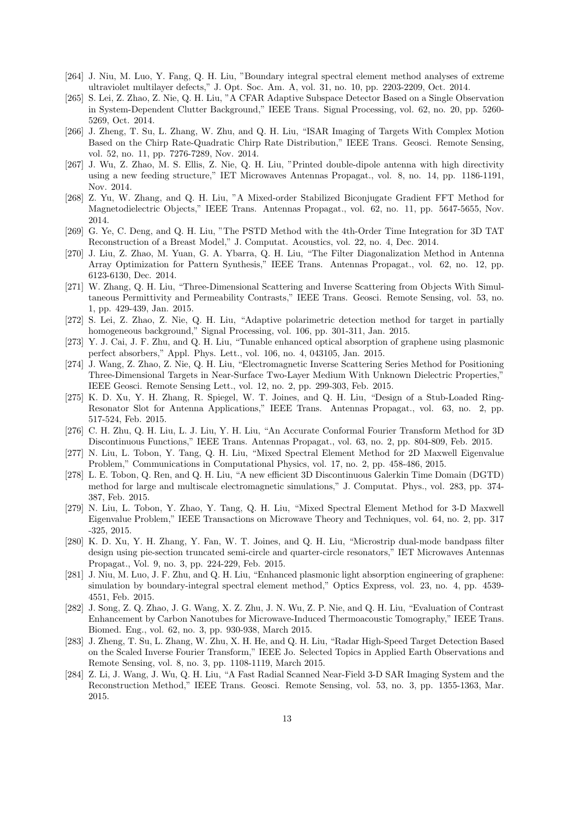- [264] J. Niu, M. Luo, Y. Fang, Q. H. Liu, "Boundary integral spectral element method analyses of extreme ultraviolet multilayer defects," J. Opt. Soc. Am. A, vol. 31, no. 10, pp. 2203-2209, Oct. 2014.
- [265] S. Lei, Z. Zhao, Z. Nie, Q. H. Liu, "A CFAR Adaptive Subspace Detector Based on a Single Observation in System-Dependent Clutter Background," IEEE Trans. Signal Processing, vol. 62, no. 20, pp. 5260- 5269, Oct. 2014.
- [266] J. Zheng, T. Su, L. Zhang, W. Zhu, and Q. H. Liu, "ISAR Imaging of Targets With Complex Motion Based on the Chirp Rate-Quadratic Chirp Rate Distribution," IEEE Trans. Geosci. Remote Sensing, vol. 52, no. 11, pp. 7276-7289, Nov. 2014.
- [267] J. Wu, Z. Zhao, M. S. Ellis, Z. Nie, Q. H. Liu, "Printed double-dipole antenna with high directivity using a new feeding structure," IET Microwaves Antennas Propagat., vol. 8, no. 14, pp. 1186-1191, Nov. 2014.
- [268] Z. Yu, W. Zhang, and Q. H. Liu, "A Mixed-order Stabilized Biconjugate Gradient FFT Method for Magnetodielectric Objects," IEEE Trans. Antennas Propagat., vol. 62, no. 11, pp. 5647-5655, Nov. 2014.
- [269] G. Ye, C. Deng, and Q. H. Liu, "The PSTD Method with the 4th-Order Time Integration for 3D TAT Reconstruction of a Breast Model," J. Computat. Acoustics, vol. 22, no. 4, Dec. 2014.
- [270] J. Liu, Z. Zhao, M. Yuan, G. A. Ybarra, Q. H. Liu, "The Filter Diagonalization Method in Antenna Array Optimization for Pattern Synthesis," IEEE Trans. Antennas Propagat., vol. 62, no. 12, pp. 6123-6130, Dec. 2014.
- [271] W. Zhang, Q. H. Liu, "Three-Dimensional Scattering and Inverse Scattering from Objects With Simultaneous Permittivity and Permeability Contrasts," IEEE Trans. Geosci. Remote Sensing, vol. 53, no. 1, pp. 429-439, Jan. 2015.
- [272] S. Lei, Z. Zhao, Z. Nie, Q. H. Liu, "Adaptive polarimetric detection method for target in partially homogeneous background," Signal Processing, vol. 106, pp. 301-311, Jan. 2015.
- [273] Y. J. Cai, J. F. Zhu, and Q. H. Liu, "Tunable enhanced optical absorption of graphene using plasmonic perfect absorbers," Appl. Phys. Lett., vol. 106, no. 4, 043105, Jan. 2015.
- [274] J. Wang, Z. Zhao, Z. Nie, Q. H. Liu, "Electromagnetic Inverse Scattering Series Method for Positioning Three-Dimensional Targets in Near-Surface Two-Layer Medium With Unknown Dielectric Properties," IEEE Geosci. Remote Sensing Lett., vol. 12, no. 2, pp. 299-303, Feb. 2015.
- [275] K. D. Xu, Y. H. Zhang, R. Spiegel, W. T. Joines, and Q. H. Liu, "Design of a Stub-Loaded Ring-Resonator Slot for Antenna Applications," IEEE Trans. Antennas Propagat., vol. 63, no. 2, pp. 517-524, Feb. 2015.
- [276] C. H. Zhu, Q. H. Liu, L. J. Liu, Y. H. Liu, "An Accurate Conformal Fourier Transform Method for 3D Discontinuous Functions," IEEE Trans. Antennas Propagat., vol. 63, no. 2, pp. 804-809, Feb. 2015.
- [277] N. Liu, L. Tobon, Y. Tang, Q. H. Liu, "Mixed Spectral Element Method for 2D Maxwell Eigenvalue Problem," Communications in Computational Physics, vol. 17, no. 2, pp. 458-486, 2015.
- [278] L. E. Tobon, Q. Ren, and Q. H. Liu, "A new efficient 3D Discontinuous Galerkin Time Domain (DGTD) method for large and multiscale electromagnetic simulations," J. Computat. Phys., vol. 283, pp. 374- 387, Feb. 2015.
- [279] N. Liu, L. Tobon, Y. Zhao, Y. Tang, Q. H. Liu, "Mixed Spectral Element Method for 3-D Maxwell Eigenvalue Problem," IEEE Transactions on Microwave Theory and Techniques, vol. 64, no. 2, pp. 317 -325, 2015.
- [280] K. D. Xu, Y. H. Zhang, Y. Fan, W. T. Joines, and Q. H. Liu, "Microstrip dual-mode bandpass filter design using pie-section truncated semi-circle and quarter-circle resonators," IET Microwaves Antennas Propagat., Vol. 9, no. 3, pp. 224-229, Feb. 2015.
- [281] J. Niu, M. Luo, J. F. Zhu, and Q. H. Liu, "Enhanced plasmonic light absorption engineering of graphene: simulation by boundary-integral spectral element method," Optics Express, vol. 23, no. 4, pp. 4539- 4551, Feb. 2015.
- [282] J. Song, Z. Q. Zhao, J. G. Wang, X. Z. Zhu, J. N. Wu, Z. P. Nie, and Q. H. Liu, "Evaluation of Contrast Enhancement by Carbon Nanotubes for Microwave-Induced Thermoacoustic Tomography," IEEE Trans. Biomed. Eng., vol. 62, no. 3, pp. 930-938, March 2015.
- [283] J. Zheng, T. Su, L. Zhang, W. Zhu, X. H. He, and Q. H. Liu, "Radar High-Speed Target Detection Based on the Scaled Inverse Fourier Transform," IEEE Jo. Selected Topics in Applied Earth Observations and Remote Sensing, vol. 8, no. 3, pp. 1108-1119, March 2015.
- [284] Z. Li, J. Wang, J. Wu, Q. H. Liu, "A Fast Radial Scanned Near-Field 3-D SAR Imaging System and the Reconstruction Method," IEEE Trans. Geosci. Remote Sensing, vol. 53, no. 3, pp. 1355-1363, Mar. 2015.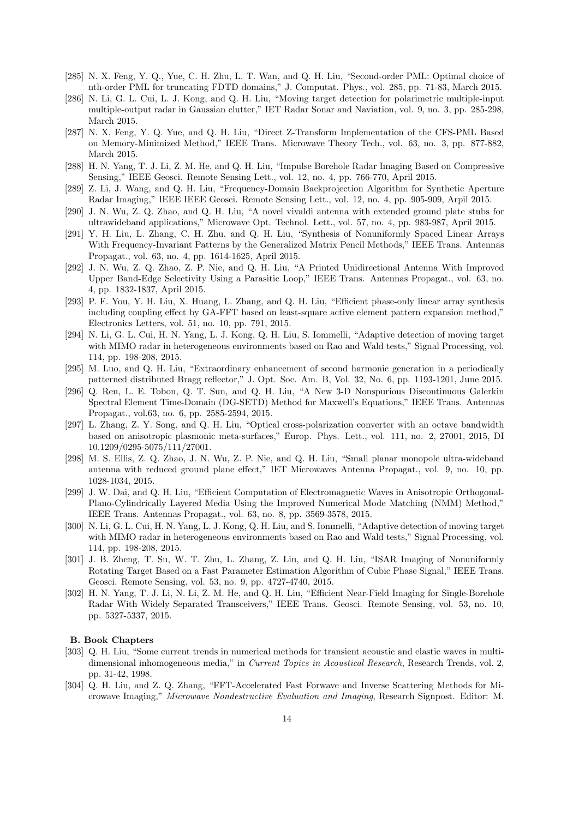- [285] N. X. Feng, Y. Q., Yue, C. H. Zhu, L. T. Wan, and Q. H. Liu, "Second-order PML: Optimal choice of nth-order PML for truncating FDTD domains," J. Computat. Phys., vol. 285, pp. 71-83, March 2015.
- [286] N. Li, G. L. Cui, L. J. Kong, and Q. H. Liu, "Moving target detection for polarimetric multiple-input multiple-output radar in Gaussian clutter," IET Radar Sonar and Naviation, vol. 9, no. 3, pp. 285-298, March 2015.
- [287] N. X. Feng, Y. Q. Yue, and Q. H. Liu, "Direct Z-Transform Implementation of the CFS-PML Based on Memory-Minimized Method," IEEE Trans. Microwave Theory Tech., vol. 63, no. 3, pp. 877-882, March 2015.
- [288] H. N. Yang, T. J. Li, Z. M. He, and Q. H. Liu, "Impulse Borehole Radar Imaging Based on Compressive Sensing," IEEE Geosci. Remote Sensing Lett., vol. 12, no. 4, pp. 766-770, April 2015.
- [289] Z. Li, J. Wang, and Q. H. Liu, "Frequency-Domain Backprojection Algorithm for Synthetic Aperture Radar Imaging," IEEE IEEE Geosci. Remote Sensing Lett., vol. 12, no. 4, pp. 905-909, Arpil 2015.
- [290] J. N. Wu, Z. Q. Zhao, and Q. H. Liu, "A novel vivaldi antenna with extended ground plate stubs for ultrawideband applications," Microwave Opt. Technol. Lett., vol. 57, no. 4, pp. 983-987, April 2015.
- [291] Y. H. Liu, L. Zhang, C. H. Zhu, and Q. H. Liu, "Synthesis of Nonuniformly Spaced Linear Arrays With Frequency-Invariant Patterns by the Generalized Matrix Pencil Methods," IEEE Trans. Antennas Propagat., vol. 63, no. 4, pp. 1614-1625, April 2015.
- [292] J. N. Wu, Z. Q. Zhao, Z. P. Nie, and Q. H. Liu, "A Printed Unidirectional Antenna With Improved Upper Band-Edge Selectivity Using a Parasitic Loop," IEEE Trans. Antennas Propagat., vol. 63, no. 4, pp. 1832-1837, April 2015.
- [293] P. F. You, Y. H. Liu, X. Huang, L. Zhang, and Q. H. Liu, "Efficient phase-only linear array synthesis including coupling effect by GA-FFT based on least-square active element pattern expansion method," Electronics Letters, vol. 51, no. 10, pp. 791, 2015.
- [294] N. Li, G. L. Cui, H. N. Yang, L. J. Kong, Q. H. Liu, S. Iommelli, "Adaptive detection of moving target with MIMO radar in heterogeneous environments based on Rao and Wald tests," Signal Processing, vol. 114, pp. 198-208, 2015.
- [295] M. Luo, and Q. H. Liu, "Extraordinary enhancement of second harmonic generation in a periodically patterned distributed Bragg reflector," J. Opt. Soc. Am. B, Vol. 32, No. 6, pp. 1193-1201, June 2015.
- [296] Q. Ren, L. E. Tobon, Q. T. Sun, and Q. H. Liu, "A New 3-D Nonspurious Discontinuous Galerkin Spectral Element Time-Domain (DG-SETD) Method for Maxwell's Equations," IEEE Trans. Antennas Propagat., vol.63, no. 6, pp. 2585-2594, 2015.
- [297] L. Zhang, Z. Y. Song, and Q. H. Liu, "Optical cross-polarization converter with an octave bandwidth based on anisotropic plasmonic meta-surfaces," Europ. Phys. Lett., vol. 111, no. 2, 27001, 2015, DI 10.1209/0295-5075/111/27001.
- [298] M. S. Ellis, Z. Q. Zhao, J. N. Wu, Z. P. Nie, and Q. H. Liu, "Small planar monopole ultra-wideband antenna with reduced ground plane effect," IET Microwaves Antenna Propagat., vol. 9, no. 10, pp. 1028-1034, 2015.
- [299] J. W. Dai, and Q. H. Liu, "Efficient Computation of Electromagnetic Waves in Anisotropic Orthogonal-Plano-Cylindrically Layered Media Using the Improved Numerical Mode Matching (NMM) Method," IEEE Trans. Antennas Propagat., vol. 63, no. 8, pp. 3569-3578, 2015.
- [300] N. Li, G. L. Cui, H. N. Yang, L. J. Kong, Q. H. Liu, and S. Iommelli, "Adaptive detection of moving target with MIMO radar in heterogeneous environments based on Rao and Wald tests," Signal Processing, vol. 114, pp. 198-208, 2015.
- [301] J. B. Zheng, T. Su, W. T. Zhu, L. Zhang, Z. Liu, and Q. H. Liu, "ISAR Imaging of Nonuniformly Rotating Target Based on a Fast Parameter Estimation Algorithm of Cubic Phase Signal," IEEE Trans. Geosci. Remote Sensing, vol. 53, no. 9, pp. 4727-4740, 2015.
- [302] H. N. Yang, T. J. Li, N. Li, Z. M. He, and Q. H. Liu, "Efficient Near-Field Imaging for Single-Borehole Radar With Widely Separated Transceivers," IEEE Trans. Geosci. Remote Sensing, vol. 53, no. 10, pp. 5327-5337, 2015.

### **B. Book Chapters**

- [303] Q. H. Liu, "Some current trends in numerical methods for transient acoustic and elastic waves in multidimensional inhomogeneous media," in *Current Topics in Acoustical Research*, Research Trends, vol. 2, pp. 31-42, 1998.
- [304] Q. H. Liu, and Z. Q. Zhang, "FFT-Accelerated Fast Forwave and Inverse Scattering Methods for Microwave Imaging," *Microwave Nondestructive Evaluation and Imaging*, Research Signpost. Editor: M.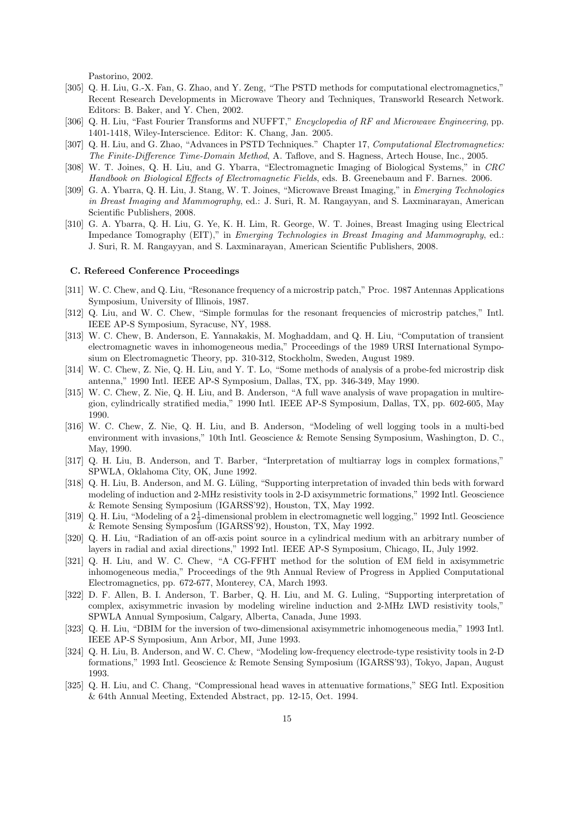Pastorino, 2002.

- [305] Q. H. Liu, G.-X. Fan, G. Zhao, and Y. Zeng, "The PSTD methods for computational electromagnetics," Recent Research Developments in Microwave Theory and Techniques, Transworld Research Network. Editors: B. Baker, and Y. Chen, 2002.
- [306] Q. H. Liu, "Fast Fourier Transforms and NUFFT," *Encyclopedia of RF and Microwave Engineering*, pp. 1401-1418, Wiley-Interscience. Editor: K. Chang, Jan. 2005.
- [307] Q. H. Liu, and G. Zhao, "Advances in PSTD Techniques." Chapter 17, *Computational Electromagnetics: The Finite-Difference Time-Domain Method*, A. Taflove, and S. Hagness, Artech House, Inc., 2005.
- [308] W. T. Joines, Q. H. Liu, and G. Ybarra, "Electromagnetic Imaging of Biological Systems," in *CRC Handbook on Biological Effects of Electromagnetic Fields*, eds. B. Greenebaum and F. Barnes. 2006.
- [309] G. A. Ybarra, Q. H. Liu, J. Stang, W. T. Joines, "Microwave Breast Imaging," in *Emerging Technologies in Breast Imaging and Mammography*, ed.: J. Suri, R. M. Rangayyan, and S. Laxminarayan, American Scientific Publishers, 2008.
- [310] G. A. Ybarra, Q. H. Liu, G. Ye, K. H. Lim, R. George, W. T. Joines, Breast Imaging using Electrical Impedance Tomography (EIT)," in *Emerging Technologies in Breast Imaging and Mammography*, ed.: J. Suri, R. M. Rangayyan, and S. Laxminarayan, American Scientific Publishers, 2008.

## **C. Refereed Conference Proceedings**

- [311] W. C. Chew, and Q. Liu, "Resonance frequency of a microstrip patch," Proc. 1987 Antennas Applications Symposium, University of Illinois, 1987.
- [312] Q. Liu, and W. C. Chew, "Simple formulas for the resonant frequencies of microstrip patches," Intl. IEEE AP-S Symposium, Syracuse, NY, 1988.
- [313] W. C. Chew, B. Anderson, E. Yannakakis, M. Moghaddam, and Q. H. Liu, "Computation of transient electromagnetic waves in inhomogeneous media," Proceedings of the 1989 URSI International Symposium on Electromagnetic Theory, pp. 310-312, Stockholm, Sweden, August 1989.
- [314] W. C. Chew, Z. Nie, Q. H. Liu, and Y. T. Lo, "Some methods of analysis of a probe-fed microstrip disk antenna," 1990 Intl. IEEE AP-S Symposium, Dallas, TX, pp. 346-349, May 1990.
- [315] W. C. Chew, Z. Nie, Q. H. Liu, and B. Anderson, "A full wave analysis of wave propagation in multiregion, cylindrically stratified media," 1990 Intl. IEEE AP-S Symposium, Dallas, TX, pp. 602-605, May 1990.
- [316] W. C. Chew, Z. Nie, Q. H. Liu, and B. Anderson, "Modeling of well logging tools in a multi-bed environment with invasions," 10th Intl. Geoscience & Remote Sensing Symposium, Washington, D. C., May, 1990.
- [317] Q. H. Liu, B. Anderson, and T. Barber, "Interpretation of multiarray logs in complex formations," SPWLA, Oklahoma City, OK, June 1992.
- [318] Q. H. Liu, B. Anderson, and M. G. Lüling, "Supporting interpretation of invaded thin beds with forward modeling of induction and 2-MHz resistivity tools in 2-D axisymmetric formations," 1992 Intl. Geoscience & Remote Sensing Symposium (IGARSS'92), Houston, TX, May 1992.
- [319] Q. H. Liu, "Modeling of a  $2\frac{1}{2}$ -dimensional problem in electromagnetic well logging," 1992 Intl. Geoscience & Remote Sensing Symposium (IGARSS'92), Houston, TX, May 1992.
- [320] Q. H. Liu, "Radiation of an off-axis point source in a cylindrical medium with an arbitrary number of layers in radial and axial directions," 1992 Intl. IEEE AP-S Symposium, Chicago, IL, July 1992.
- [321] Q. H. Liu, and W. C. Chew, "A CG-FFHT method for the solution of EM field in axisymmetric inhomogeneous media," Proceedings of the 9th Annual Review of Progress in Applied Computational Electromagnetics, pp. 672-677, Monterey, CA, March 1993.
- [322] D. F. Allen, B. I. Anderson, T. Barber, Q. H. Liu, and M. G. Luling, "Supporting interpretation of complex, axisymmetric invasion by modeling wireline induction and 2-MHz LWD resistivity tools," SPWLA Annual Symposium, Calgary, Alberta, Canada, June 1993.
- [323] Q. H. Liu, "DBIM for the inversion of two-dimensional axisymmetric inhomogeneous media," 1993 Intl. IEEE AP-S Symposium, Ann Arbor, MI, June 1993.
- [324] Q. H. Liu, B. Anderson, and W. C. Chew, "Modeling low-frequency electrode-type resistivity tools in 2-D formations," 1993 Intl. Geoscience & Remote Sensing Symposium (IGARSS'93), Tokyo, Japan, August 1993.
- [325] Q. H. Liu, and C. Chang, "Compressional head waves in attenuative formations," SEG Intl. Exposition & 64th Annual Meeting, Extended Abstract, pp. 12-15, Oct. 1994.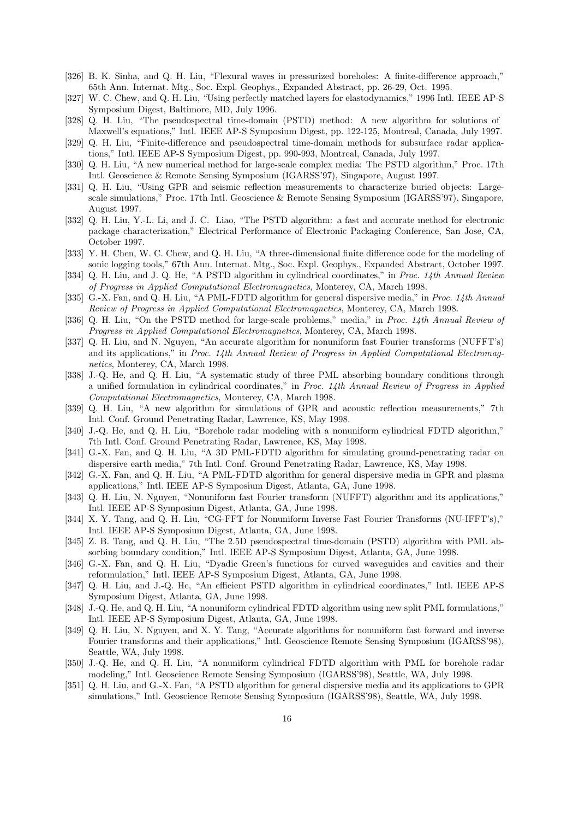- [326] B. K. Sinha, and Q. H. Liu, "Flexural waves in pressurized boreholes: A finite-difference approach," 65th Ann. Internat. Mtg., Soc. Expl. Geophys., Expanded Abstract, pp. 26-29, Oct. 1995.
- [327] W. C. Chew, and Q. H. Liu, "Using perfectly matched layers for elastodynamics," 1996 Intl. IEEE AP-S Symposium Digest, Baltimore, MD, July 1996.
- [328] Q. H. Liu, "The pseudospectral time-domain (PSTD) method: A new algorithm for solutions of Maxwell's equations," Intl. IEEE AP-S Symposium Digest, pp. 122-125, Montreal, Canada, July 1997.
- [329] Q. H. Liu, "Finite-difference and pseudospectral time-domain methods for subsurface radar applications," Intl. IEEE AP-S Symposium Digest, pp. 990-993, Montreal, Canada, July 1997.
- [330] Q. H. Liu, "A new numerical method for large-scale complex media: The PSTD algorithm," Proc. 17th Intl. Geoscience & Remote Sensing Symposium (IGARSS'97), Singapore, August 1997.
- [331] Q. H. Liu, "Using GPR and seismic reflection measurements to characterize buried objects: Largescale simulations," Proc. 17th Intl. Geoscience & Remote Sensing Symposium (IGARSS'97), Singapore, August 1997.
- [332] Q. H. Liu, Y.-L. Li, and J. C. Liao, "The PSTD algorithm: a fast and accurate method for electronic package characterization," Electrical Performance of Electronic Packaging Conference, San Jose, CA, October 1997.
- [333] Y. H. Chen, W. C. Chew, and Q. H. Liu, "A three-dimensional finite difference code for the modeling of sonic logging tools," 67th Ann. Internat. Mtg., Soc. Expl. Geophys., Expanded Abstract, October 1997.
- [334] Q. H. Liu, and J. Q. He, "A PSTD algorithm in cylindrical coordinates," in *Proc. 14th Annual Review of Progress in Applied Computational Electromagnetics*, Monterey, CA, March 1998.
- [335] G.-X. Fan, and Q. H. Liu, "A PML-FDTD algorithm for general dispersive media," in *Proc. 14th Annual Review of Progress in Applied Computational Electromagnetics*, Monterey, CA, March 1998.
- [336] Q. H. Liu, "On the PSTD method for large-scale problems," media," in *Proc. 14th Annual Review of Progress in Applied Computational Electromagnetics*, Monterey, CA, March 1998.
- [337] Q. H. Liu, and N. Nguyen, "An accurate algorithm for nonuniform fast Fourier transforms (NUFFT's) and its applications," in *Proc. 14th Annual Review of Progress in Applied Computational Electromagnetics*, Monterey, CA, March 1998.
- [338] J.-Q. He, and Q. H. Liu, "A systematic study of three PML absorbing boundary conditions through a unified formulation in cylindrical coordinates," in *Proc. 14th Annual Review of Progress in Applied Computational Electromagnetics*, Monterey, CA, March 1998.
- [339] Q. H. Liu, "A new algorithm for simulations of GPR and acoustic reflection measurements," 7th Intl. Conf. Ground Penetrating Radar, Lawrence, KS, May 1998.
- [340] J.-Q. He, and Q. H. Liu, "Borehole radar modeling with a nonuniform cylindrical FDTD algorithm," 7th Intl. Conf. Ground Penetrating Radar, Lawrence, KS, May 1998.
- [341] G.-X. Fan, and Q. H. Liu, "A 3D PML-FDTD algorithm for simulating ground-penetrating radar on dispersive earth media," 7th Intl. Conf. Ground Penetrating Radar, Lawrence, KS, May 1998.
- [342] G.-X. Fan, and Q. H. Liu, "A PML-FDTD algorithm for general dispersive media in GPR and plasma applications," Intl. IEEE AP-S Symposium Digest, Atlanta, GA, June 1998.
- [343] Q. H. Liu, N. Nguyen, "Nonuniform fast Fourier transform (NUFFT) algorithm and its applications," Intl. IEEE AP-S Symposium Digest, Atlanta, GA, June 1998.
- [344] X. Y. Tang, and Q. H. Liu, "CG-FFT for Nonuniform Inverse Fast Fourier Transforms (NU-IFFT's)," Intl. IEEE AP-S Symposium Digest, Atlanta, GA, June 1998.
- [345] Z. B. Tang, and Q. H. Liu, "The 2.5D pseudospectral time-domain (PSTD) algorithm with PML absorbing boundary condition," Intl. IEEE AP-S Symposium Digest, Atlanta, GA, June 1998.
- [346] G.-X. Fan, and Q. H. Liu, "Dyadic Green's functions for curved waveguides and cavities and their reformulation," Intl. IEEE AP-S Symposium Digest, Atlanta, GA, June 1998.
- [347] Q. H. Liu, and J.-Q. He, "An efficient PSTD algorithm in cylindrical coordinates," Intl. IEEE AP-S Symposium Digest, Atlanta, GA, June 1998.
- [348] J.-Q. He, and Q. H. Liu, "A nonuniform cylindrical FDTD algorithm using new split PML formulations," Intl. IEEE AP-S Symposium Digest, Atlanta, GA, June 1998.
- [349] Q. H. Liu, N. Nguyen, and X. Y. Tang, "Accurate algorithms for nonuniform fast forward and inverse Fourier transforms and their applications," Intl. Geoscience Remote Sensing Symposium (IGARSS'98), Seattle, WA, July 1998.
- [350] J.-Q. He, and Q. H. Liu, "A nonuniform cylindrical FDTD algorithm with PML for borehole radar modeling," Intl. Geoscience Remote Sensing Symposium (IGARSS'98), Seattle, WA, July 1998.
- [351] Q. H. Liu, and G.-X. Fan, "A PSTD algorithm for general dispersive media and its applications to GPR simulations," Intl. Geoscience Remote Sensing Symposium (IGARSS'98), Seattle, WA, July 1998.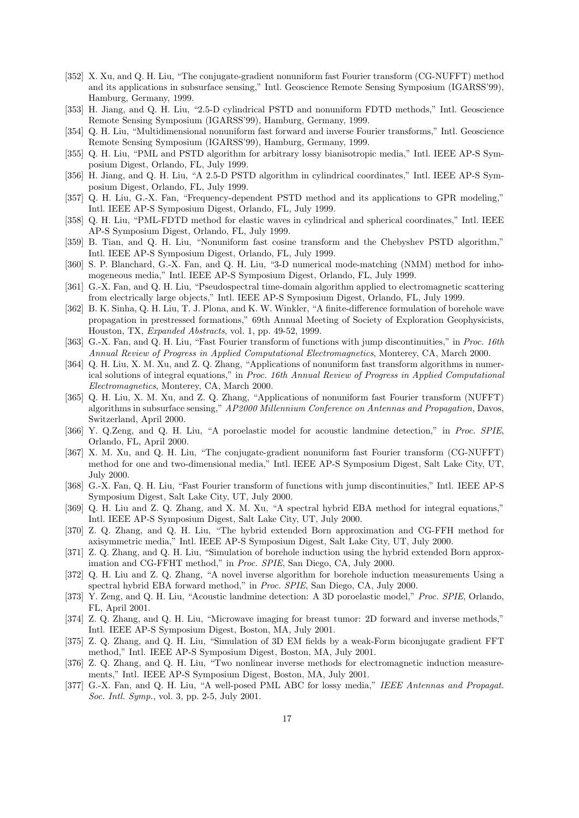- [352] X. Xu, and Q. H. Liu, "The conjugate-gradient nonuniform fast Fourier transform (CG-NUFFT) method and its applications in subsurface sensing," Intl. Geoscience Remote Sensing Symposium (IGARSS'99), Hamburg, Germany, 1999.
- [353] H. Jiang, and Q. H. Liu, "2.5-D cylindrical PSTD and nonuniform FDTD methods," Intl. Geoscience Remote Sensing Symposium (IGARSS'99), Hamburg, Germany, 1999.
- [354] Q. H. Liu, "Multidimensional nonuniform fast forward and inverse Fourier transforms," Intl. Geoscience Remote Sensing Symposium (IGARSS'99), Hamburg, Germany, 1999.
- [355] Q. H. Liu, "PML and PSTD algorithm for arbitrary lossy bianisotropic media," Intl. IEEE AP-S Symposium Digest, Orlando, FL, July 1999.
- [356] H. Jiang, and Q. H. Liu, "A 2.5-D PSTD algorithm in cylindrical coordinates," Intl. IEEE AP-S Symposium Digest, Orlando, FL, July 1999.
- [357] Q. H. Liu, G.-X. Fan, "Frequency-dependent PSTD method and its applications to GPR modeling," Intl. IEEE AP-S Symposium Digest, Orlando, FL, July 1999.
- [358] Q. H. Liu, "PML-FDTD method for elastic waves in cylindrical and spherical coordinates," Intl. IEEE AP-S Symposium Digest, Orlando, FL, July 1999.
- [359] B. Tian, and Q. H. Liu, "Nonuniform fast cosine transform and the Chebyshev PSTD algorithm," Intl. IEEE AP-S Symposium Digest, Orlando, FL, July 1999.
- [360] S. P. Blanchard, G.-X. Fan, and Q. H. Liu, "3-D numerical mode-matching (NMM) method for inhomogeneous media," Intl. IEEE AP-S Symposium Digest, Orlando, FL, July 1999.
- [361] G.-X. Fan, and Q. H. Liu, "Pseudospectral time-domain algorithm applied to electromagnetic scattering from electrically large objects," Intl. IEEE AP-S Symposium Digest, Orlando, FL, July 1999.
- [362] B. K. Sinha, Q. H. Liu, T. J. Plona, and K. W. Winkler, "A finite-difference formulation of borehole wave propagation in prestressed formations," 69th Annual Meeting of Society of Exploration Geophysicists, Houston, TX, *Expanded Abstracts*, vol. 1, pp. 49-52, 1999.
- [363] G.-X. Fan, and Q. H. Liu, "Fast Fourier transform of functions with jump discontinuities," in *Proc. 16th Annual Review of Progress in Applied Computational Electromagnetics*, Monterey, CA, March 2000.
- [364] Q. H. Liu, X. M. Xu, and Z. Q. Zhang, "Applications of nonuniform fast transform algorithms in numerical solutions of integral equations," in *Proc. 16th Annual Review of Progress in Applied Computational Electromagnetics*, Monterey, CA, March 2000.
- [365] Q. H. Liu, X. M. Xu, and Z. Q. Zhang, "Applications of nonuniform fast Fourier transform (NUFFT) algorithms in subsurface sensing," *AP2000 Millennium Conference on Antennas and Propagation,* Davos, Switzerland, April 2000.
- [366] Y. Q.Zeng, and Q. H. Liu, "A poroelastic model for acoustic landmine detection," in *Proc. SPIE*, Orlando, FL, April 2000.
- [367] X. M. Xu, and Q. H. Liu, "The conjugate-gradient nonuniform fast Fourier transform (CG-NUFFT) method for one and two-dimensional media," Intl. IEEE AP-S Symposium Digest, Salt Lake City, UT, July 2000.
- [368] G.-X. Fan, Q. H. Liu, "Fast Fourier transform of functions with jump discontinuities," Intl. IEEE AP-S Symposium Digest, Salt Lake City, UT, July 2000.
- [369] Q. H. Liu and Z. Q. Zhang, and X. M. Xu, "A spectral hybrid EBA method for integral equations," Intl. IEEE AP-S Symposium Digest, Salt Lake City, UT, July 2000.
- [370] Z. Q. Zhang, and Q. H. Liu, "The hybrid extended Born approximation and CG-FFH method for axisymmetric media," Intl. IEEE AP-S Symposium Digest, Salt Lake City, UT, July 2000.
- [371] Z. Q. Zhang, and Q. H. Liu, "Simulation of borehole induction using the hybrid extended Born approximation and CG-FFHT method," in *Proc. SPIE*, San Diego, CA, July 2000.
- [372] Q. H. Liu and Z. Q. Zhang, "A novel inverse algorithm for borehole induction measurements Using a spectral hybrid EBA forward method," in *Proc. SPIE*, San Diego, CA, July 2000.
- [373] Y. Zeng, and Q. H. Liu, "Acoustic landmine detection: A 3D poroelastic model," *Proc. SPIE*, Orlando, FL, April 2001.
- [374] Z. Q. Zhang, and Q. H. Liu, "Microwave imaging for breast tumor: 2D forward and inverse methods," Intl. IEEE AP-S Symposium Digest, Boston, MA, July 2001.
- [375] Z. Q. Zhang, and Q. H. Liu, "Simulation of 3D EM fields by a weak-Form biconjugate gradient FFT method," Intl. IEEE AP-S Symposium Digest, Boston, MA, July 2001.
- [376] Z. Q. Zhang, and Q. H. Liu, "Two nonlinear inverse methods for electromagnetic induction measurements," Intl. IEEE AP-S Symposium Digest, Boston, MA, July 2001.
- [377] G.-X. Fan, and Q. H. Liu, "A well-posed PML ABC for lossy media," *IEEE Antennas and Propagat. Soc. Intl. Symp.*, vol. 3, pp. 2-5, July 2001.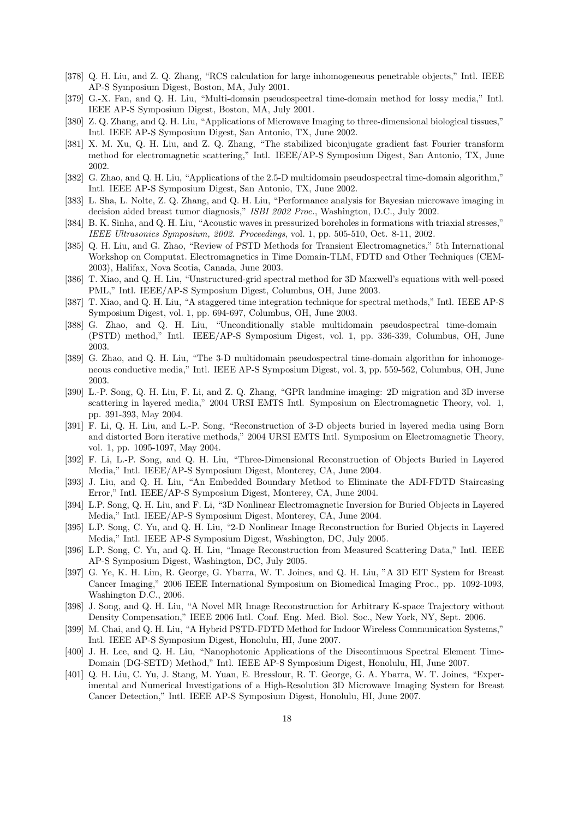- [378] Q. H. Liu, and Z. Q. Zhang, "RCS calculation for large inhomogeneous penetrable objects," Intl. IEEE AP-S Symposium Digest, Boston, MA, July 2001.
- [379] G.-X. Fan, and Q. H. Liu, "Multi-domain pseudospectral time-domain method for lossy media," Intl. IEEE AP-S Symposium Digest, Boston, MA, July 2001.
- [380] Z. Q. Zhang, and Q. H. Liu, "Applications of Microwave Imaging to three-dimensional biological tissues," Intl. IEEE AP-S Symposium Digest, San Antonio, TX, June 2002.
- [381] X. M. Xu, Q. H. Liu, and Z. Q. Zhang, "The stabilized biconjugate gradient fast Fourier transform method for electromagnetic scattering," Intl. IEEE/AP-S Symposium Digest, San Antonio, TX, June 2002.
- [382] G. Zhao, and Q. H. Liu, "Applications of the 2.5-D multidomain pseudospectral time-domain algorithm," Intl. IEEE AP-S Symposium Digest, San Antonio, TX, June 2002.
- [383] L. Sha, L. Nolte, Z. Q. Zhang, and Q. H. Liu, "Performance analysis for Bayesian microwave imaging in decision aided breast tumor diagnosis," *ISBI 2002 Proc.*, Washington, D.C., July 2002.
- [384] B. K. Sinha, and Q. H. Liu, "Acoustic waves in pressurized boreholes in formations with triaxial stresses," *IEEE Ultrasonics Symposium, 2002. Proceedings*, vol. 1, pp. 505-510, Oct. 8-11, 2002.
- [385] Q. H. Liu, and G. Zhao, "Review of PSTD Methods for Transient Electromagnetics," 5th International Workshop on Computat. Electromagnetics in Time Domain-TLM, FDTD and Other Techniques (CEM-2003), Halifax, Nova Scotia, Canada, June 2003.
- [386] T. Xiao, and Q. H. Liu, "Unstructured-grid spectral method for 3D Maxwell's equations with well-posed PML," Intl. IEEE/AP-S Symposium Digest, Columbus, OH, June 2003.
- [387] T. Xiao, and Q. H. Liu, "A staggered time integration technique for spectral methods," Intl. IEEE AP-S Symposium Digest, vol. 1, pp. 694-697, Columbus, OH, June 2003.
- [388] G. Zhao, and Q. H. Liu, "Unconditionally stable multidomain pseudospectral time-domain (PSTD) method," Intl. IEEE/AP-S Symposium Digest, vol. 1, pp. 336-339, Columbus, OH, June 2003.
- [389] G. Zhao, and Q. H. Liu, "The 3-D multidomain pseudospectral time-domain algorithm for inhomogeneous conductive media," Intl. IEEE AP-S Symposium Digest, vol. 3, pp. 559-562, Columbus, OH, June 2003.
- [390] L.-P. Song, Q. H. Liu, F. Li, and Z. Q. Zhang, "GPR landmine imaging: 2D migration and 3D inverse scattering in layered media," 2004 URSI EMTS Intl. Symposium on Electromagnetic Theory, vol. 1, pp. 391-393, May 2004.
- [391] F. Li, Q. H. Liu, and L.-P. Song, "Reconstruction of 3-D objects buried in layered media using Born and distorted Born iterative methods," 2004 URSI EMTS Intl. Symposium on Electromagnetic Theory, vol. 1, pp. 1095-1097, May 2004.
- [392] F. Li, L.-P. Song, and Q. H. Liu, "Three-Dimensional Reconstruction of Objects Buried in Layered Media," Intl. IEEE/AP-S Symposium Digest, Monterey, CA, June 2004.
- [393] J. Liu, and Q. H. Liu, "An Embedded Boundary Method to Eliminate the ADI-FDTD Staircasing Error," Intl. IEEE/AP-S Symposium Digest, Monterey, CA, June 2004.
- [394] L.P. Song, Q. H. Liu, and F. Li, "3D Nonlinear Electromagnetic Inversion for Buried Objects in Layered Media," Intl. IEEE/AP-S Symposium Digest, Monterey, CA, June 2004.
- [395] L.P. Song, C. Yu, and Q. H. Liu, "2-D Nonlinear Image Reconstruction for Buried Objects in Layered Media," Intl. IEEE AP-S Symposium Digest, Washington, DC, July 2005.
- [396] L.P. Song, C. Yu, and Q. H. Liu, "Image Reconstruction from Measured Scattering Data," Intl. IEEE AP-S Symposium Digest, Washington, DC, July 2005.
- [397] G. Ye, K. H. Lim, R. George, G. Ybarra, W. T. Joines, and Q. H. Liu, "A 3D EIT System for Breast Cancer Imaging," 2006 IEEE International Symposium on Biomedical Imaging Proc., pp. 1092-1093, Washington D.C., 2006.
- [398] J. Song, and Q. H. Liu, "A Novel MR Image Reconstruction for Arbitrary K-space Trajectory without Density Compensation," IEEE 2006 Intl. Conf. Eng. Med. Biol. Soc., New York, NY, Sept. 2006.
- [399] M. Chai, and Q. H. Liu, "A Hybrid PSTD-FDTD Method for Indoor Wireless Communication Systems," Intl. IEEE AP-S Symposium Digest, Honolulu, HI, June 2007.
- [400] J. H. Lee, and Q. H. Liu, "Nanophotonic Applications of the Discontinuous Spectral Element Time-Domain (DG-SETD) Method," Intl. IEEE AP-S Symposium Digest, Honolulu, HI, June 2007.
- [401] Q. H. Liu, C. Yu, J. Stang, M. Yuan, E. Bresslour, R. T. George, G. A. Ybarra, W. T. Joines, "Experimental and Numerical Investigations of a High-Resolution 3D Microwave Imaging System for Breast Cancer Detection," Intl. IEEE AP-S Symposium Digest, Honolulu, HI, June 2007.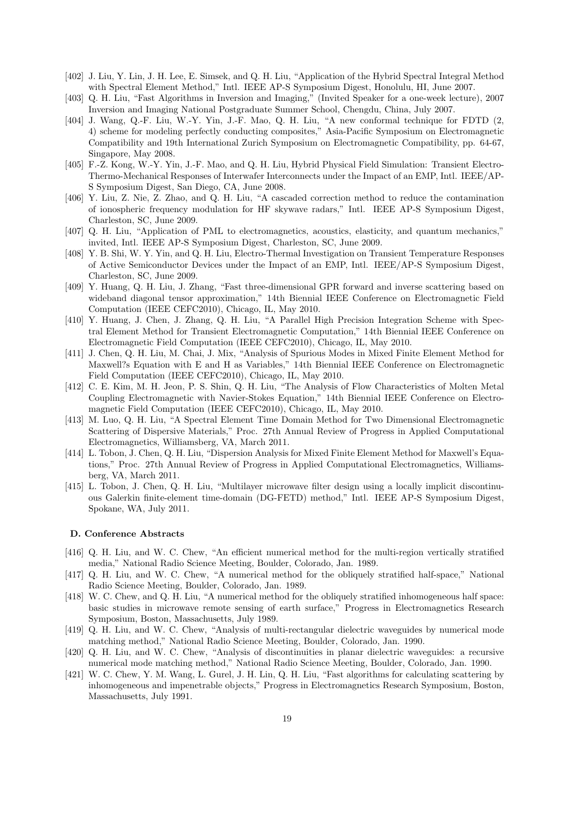- [402] J. Liu, Y. Lin, J. H. Lee, E. Simsek, and Q. H. Liu, "Application of the Hybrid Spectral Integral Method with Spectral Element Method," Intl. IEEE AP-S Symposium Digest, Honolulu, HI, June 2007.
- [403] Q. H. Liu, "Fast Algorithms in Inversion and Imaging," (Invited Speaker for a one-week lecture), 2007 Inversion and Imaging National Postgraduate Summer School, Chengdu, China, July 2007.
- [404] J. Wang, Q.-F. Liu, W.-Y. Yin, J.-F. Mao, Q. H. Liu, "A new conformal technique for FDTD (2, 4) scheme for modeling perfectly conducting composites," Asia-Pacific Symposium on Electromagnetic Compatibility and 19th International Zurich Symposium on Electromagnetic Compatibility, pp. 64-67, Singapore, May 2008.
- [405] F.-Z. Kong, W.-Y. Yin, J.-F. Mao, and Q. H. Liu, Hybrid Physical Field Simulation: Transient Electro-Thermo-Mechanical Responses of Interwafer Interconnects under the Impact of an EMP, Intl. IEEE/AP-S Symposium Digest, San Diego, CA, June 2008.
- [406] Y. Liu, Z. Nie, Z. Zhao, and Q. H. Liu, "A cascaded correction method to reduce the contamination of ionospheric frequency modulation for HF skywave radars," Intl. IEEE AP-S Symposium Digest, Charleston, SC, June 2009.
- [407] Q. H. Liu, "Application of PML to electromagnetics, acoustics, elasticity, and quantum mechanics," invited, Intl. IEEE AP-S Symposium Digest, Charleston, SC, June 2009.
- [408] Y. B. Shi, W. Y. Yin, and Q. H. Liu, Electro-Thermal Investigation on Transient Temperature Responses of Active Semiconductor Devices under the Impact of an EMP, Intl. IEEE/AP-S Symposium Digest, Charleston, SC, June 2009.
- [409] Y. Huang, Q. H. Liu, J. Zhang, "Fast three-dimensional GPR forward and inverse scattering based on wideband diagonal tensor approximation," 14th Biennial IEEE Conference on Electromagnetic Field Computation (IEEE CEFC2010), Chicago, IL, May 2010.
- [410] Y. Huang, J. Chen, J. Zhang, Q. H. Liu, "A Parallel High Precision Integration Scheme with Spectral Element Method for Transient Electromagnetic Computation," 14th Biennial IEEE Conference on Electromagnetic Field Computation (IEEE CEFC2010), Chicago, IL, May 2010.
- [411] J. Chen, Q. H. Liu, M. Chai, J. Mix, "Analysis of Spurious Modes in Mixed Finite Element Method for Maxwell?s Equation with E and H as Variables," 14th Biennial IEEE Conference on Electromagnetic Field Computation (IEEE CEFC2010), Chicago, IL, May 2010.
- [412] C. E. Kim, M. H. Jeon, P. S. Shin, Q. H. Liu, "The Analysis of Flow Characteristics of Molten Metal Coupling Electromagnetic with Navier-Stokes Equation," 14th Biennial IEEE Conference on Electromagnetic Field Computation (IEEE CEFC2010), Chicago, IL, May 2010.
- [413] M. Luo, Q. H. Liu, "A Spectral Element Time Domain Method for Two Dimensional Electromagnetic Scattering of Dispersive Materials," Proc. 27th Annual Review of Progress in Applied Computational Electromagnetics, Williamsberg, VA, March 2011.
- [414] L. Tobon, J. Chen, Q. H. Liu, "Dispersion Analysis for Mixed Finite Element Method for Maxwell's Equations," Proc. 27th Annual Review of Progress in Applied Computational Electromagnetics, Williamsberg, VA, March 2011.
- [415] L. Tobon, J. Chen, Q. H. Liu, "Multilayer microwave filter design using a locally implicit discontinuous Galerkin finite-element time-domain (DG-FETD) method," Intl. IEEE AP-S Symposium Digest, Spokane, WA, July 2011.

#### **D. Conference Abstracts**

- [416] Q. H. Liu, and W. C. Chew, "An efficient numerical method for the multi-region vertically stratified media," National Radio Science Meeting, Boulder, Colorado, Jan. 1989.
- [417] Q. H. Liu, and W. C. Chew, "A numerical method for the obliquely stratified half-space," National Radio Science Meeting, Boulder, Colorado, Jan. 1989.
- [418] W. C. Chew, and Q. H. Liu, "A numerical method for the obliquely stratified inhomogeneous half space: basic studies in microwave remote sensing of earth surface," Progress in Electromagnetics Research Symposium, Boston, Massachusetts, July 1989.
- [419] Q. H. Liu, and W. C. Chew, "Analysis of multi-rectangular dielectric waveguides by numerical mode matching method," National Radio Science Meeting, Boulder, Colorado, Jan. 1990.
- [420] Q. H. Liu, and W. C. Chew, "Analysis of discontinuities in planar dielectric waveguides: a recursive numerical mode matching method," National Radio Science Meeting, Boulder, Colorado, Jan. 1990.
- [421] W. C. Chew, Y. M. Wang, L. Gurel, J. H. Lin, Q. H. Liu, "Fast algorithms for calculating scattering by inhomogeneous and impenetrable objects," Progress in Electromagnetics Research Symposium, Boston, Massachusetts, July 1991.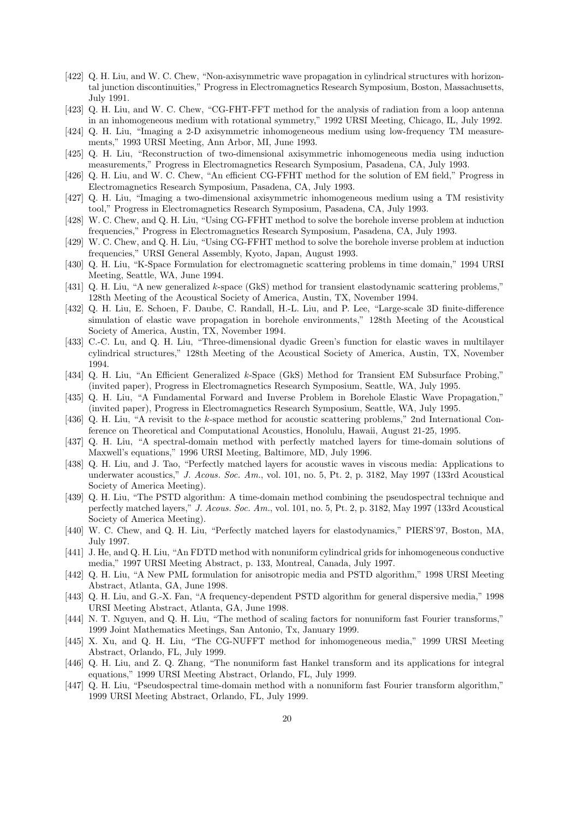- [422] Q. H. Liu, and W. C. Chew, "Non-axisymmetric wave propagation in cylindrical structures with horizontal junction discontinuities," Progress in Electromagnetics Research Symposium, Boston, Massachusetts, July 1991.
- [423] Q. H. Liu, and W. C. Chew, "CG-FHT-FFT method for the analysis of radiation from a loop antenna in an inhomogeneous medium with rotational symmetry," 1992 URSI Meeting, Chicago, IL, July 1992.
- [424] Q. H. Liu, "Imaging a 2-D axisymmetric inhomogeneous medium using low-frequency TM measurements," 1993 URSI Meeting, Ann Arbor, MI, June 1993.
- [425] Q. H. Liu, "Reconstruction of two-dimensional axisymmetric inhomogeneous media using induction measurements," Progress in Electromagnetics Research Symposium, Pasadena, CA, July 1993.
- [426] Q. H. Liu, and W. C. Chew, "An efficient CG-FFHT method for the solution of EM field," Progress in Electromagnetics Research Symposium, Pasadena, CA, July 1993.
- [427] Q. H. Liu, "Imaging a two-dimensional axisymmetric inhomogeneous medium using a TM resistivity tool," Progress in Electromagnetics Research Symposium, Pasadena, CA, July 1993.
- [428] W. C. Chew, and Q. H. Liu, "Using CG-FFHT method to solve the borehole inverse problem at induction frequencies," Progress in Electromagnetics Research Symposium, Pasadena, CA, July 1993.
- [429] W. C. Chew, and Q. H. Liu, "Using CG-FFHT method to solve the borehole inverse problem at induction frequencies," URSI General Assembly, Kyoto, Japan, August 1993.
- [430] Q. H. Liu, "K-Space Formulation for electromagnetic scattering problems in time domain," 1994 URSI Meeting, Seattle, WA, June 1994.
- [431] Q. H. Liu, "A new generalized *k*-space (GkS) method for transient elastodynamic scattering problems," 128th Meeting of the Acoustical Society of America, Austin, TX, November 1994.
- [432] Q. H. Liu, E. Schoen, F. Daube, C. Randall, H.-L. Liu, and P. Lee, "Large-scale 3D finite-difference simulation of elastic wave propagation in borehole environments," 128th Meeting of the Acoustical Society of America, Austin, TX, November 1994.
- [433] C.-C. Lu, and Q. H. Liu, "Three-dimensional dyadic Green's function for elastic waves in multilayer cylindrical structures," 128th Meeting of the Acoustical Society of America, Austin, TX, November 1994.
- [434] Q. H. Liu, "An Efficient Generalized *k*-Space (GkS) Method for Transient EM Subsurface Probing," (invited paper), Progress in Electromagnetics Research Symposium, Seattle, WA, July 1995.
- [435] Q. H. Liu, "A Fundamental Forward and Inverse Problem in Borehole Elastic Wave Propagation," (invited paper), Progress in Electromagnetics Research Symposium, Seattle, WA, July 1995.
- [436] Q. H. Liu, "A revisit to the *k*-space method for acoustic scattering problems," 2nd International Conference on Theoretical and Computational Acoustics, Honolulu, Hawaii, August 21-25, 1995.
- [437] Q. H. Liu, "A spectral-domain method with perfectly matched layers for time-domain solutions of Maxwell's equations," 1996 URSI Meeting, Baltimore, MD, July 1996.
- [438] Q. H. Liu, and J. Tao, "Perfectly matched layers for acoustic waves in viscous media: Applications to underwater acoustics," *J. Acous. Soc. Am.*, vol. 101, no. 5, Pt. 2, p. 3182, May 1997 (133rd Acoustical Society of America Meeting).
- [439] Q. H. Liu, "The PSTD algorithm: A time-domain method combining the pseudospectral technique and perfectly matched layers," *J. Acous. Soc. Am.*, vol. 101, no. 5, Pt. 2, p. 3182, May 1997 (133rd Acoustical Society of America Meeting).
- [440] W. C. Chew, and Q. H. Liu, "Perfectly matched layers for elastodynamics," PIERS'97, Boston, MA, July 1997.
- [441] J. He, and Q. H. Liu, "An FDTD method with nonuniform cylindrical grids for inhomogeneous conductive media," 1997 URSI Meeting Abstract, p. 133, Montreal, Canada, July 1997.
- [442] Q. H. Liu, "A New PML formulation for anisotropic media and PSTD algorithm," 1998 URSI Meeting Abstract, Atlanta, GA, June 1998.
- [443] Q. H. Liu, and G.-X. Fan, "A frequency-dependent PSTD algorithm for general dispersive media," 1998 URSI Meeting Abstract, Atlanta, GA, June 1998.
- [444] N. T. Nguyen, and Q. H. Liu, "The method of scaling factors for nonuniform fast Fourier transforms," 1999 Joint Mathematics Meetings, San Antonio, Tx, January 1999.
- [445] X. Xu, and Q. H. Liu, "The CG-NUFFT method for inhomogeneous media," 1999 URSI Meeting Abstract, Orlando, FL, July 1999.
- [446] Q. H. Liu, and Z. Q. Zhang, "The nonuniform fast Hankel transform and its applications for integral equations," 1999 URSI Meeting Abstract, Orlando, FL, July 1999.
- [447] Q. H. Liu, "Pseudospectral time-domain method with a nonuniform fast Fourier transform algorithm," 1999 URSI Meeting Abstract, Orlando, FL, July 1999.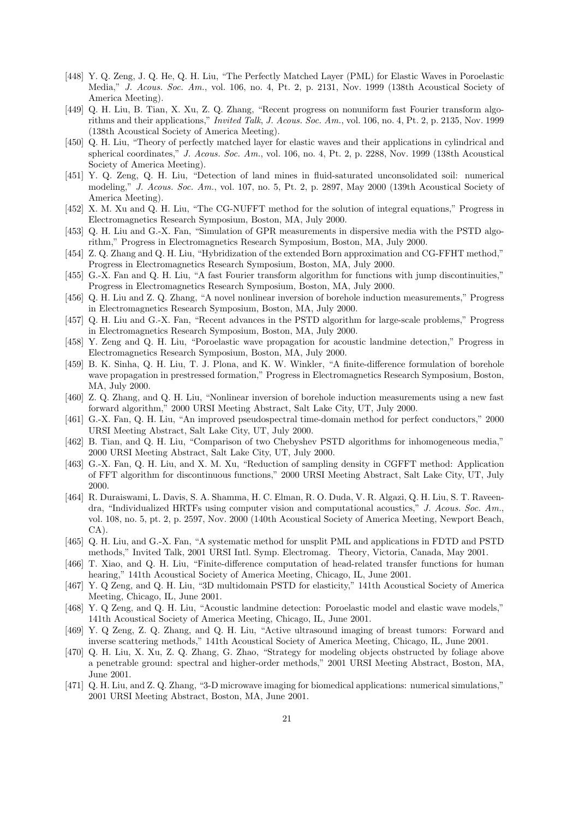- [448] Y. Q. Zeng, J. Q. He, Q. H. Liu, "The Perfectly Matched Layer (PML) for Elastic Waves in Poroelastic Media," *J. Acous. Soc. Am.*, vol. 106, no. 4, Pt. 2, p. 2131, Nov. 1999 (138th Acoustical Society of America Meeting).
- [449] Q. H. Liu, B. Tian, X. Xu, Z. Q. Zhang, "Recent progress on nonuniform fast Fourier transform algorithms and their applications," *Invited Talk*, *J. Acous. Soc. Am.*, vol. 106, no. 4, Pt. 2, p. 2135, Nov. 1999 (138th Acoustical Society of America Meeting).
- [450] Q. H. Liu, "Theory of perfectly matched layer for elastic waves and their applications in cylindrical and spherical coordinates," *J. Acous. Soc. Am.*, vol. 106, no. 4, Pt. 2, p. 2288, Nov. 1999 (138th Acoustical Society of America Meeting).
- [451] Y. Q. Zeng, Q. H. Liu, "Detection of land mines in fluid-saturated unconsolidated soil: numerical modeling," *J. Acous. Soc. Am.*, vol. 107, no. 5, Pt. 2, p. 2897, May 2000 (139th Acoustical Society of America Meeting).
- [452] X. M. Xu and Q. H. Liu, "The CG-NUFFT method for the solution of integral equations," Progress in Electromagnetics Research Symposium, Boston, MA, July 2000.
- [453] Q. H. Liu and G.-X. Fan, "Simulation of GPR measurements in dispersive media with the PSTD algorithm," Progress in Electromagnetics Research Symposium, Boston, MA, July 2000.
- [454] Z. Q. Zhang and Q. H. Liu, "Hybridization of the extended Born approximation and CG-FFHT method," Progress in Electromagnetics Research Symposium, Boston, MA, July 2000.
- [455] G.-X. Fan and Q. H. Liu, "A fast Fourier transform algorithm for functions with jump discontinuities," Progress in Electromagnetics Research Symposium, Boston, MA, July 2000.
- [456] Q. H. Liu and Z. Q. Zhang, "A novel nonlinear inversion of borehole induction measurements," Progress in Electromagnetics Research Symposium, Boston, MA, July 2000.
- [457] Q. H. Liu and G.-X. Fan, "Recent advances in the PSTD algorithm for large-scale problems," Progress in Electromagnetics Research Symposium, Boston, MA, July 2000.
- [458] Y. Zeng and Q. H. Liu, "Poroelastic wave propagation for acoustic landmine detection," Progress in Electromagnetics Research Symposium, Boston, MA, July 2000.
- [459] B. K. Sinha, Q. H. Liu, T. J. Plona, and K. W. Winkler, "A finite-difference formulation of borehole wave propagation in prestressed formation," Progress in Electromagnetics Research Symposium, Boston, MA, July 2000.
- [460] Z. Q. Zhang, and Q. H. Liu, "Nonlinear inversion of borehole induction measurements using a new fast forward algorithm," 2000 URSI Meeting Abstract, Salt Lake City, UT, July 2000.
- [461] G.-X. Fan, Q. H. Liu, "An improved pseudospectral time-domain method for perfect conductors," 2000 URSI Meeting Abstract, Salt Lake City, UT, July 2000.
- [462] B. Tian, and Q. H. Liu, "Comparison of two Chebyshev PSTD algorithms for inhomogeneous media," 2000 URSI Meeting Abstract, Salt Lake City, UT, July 2000.
- [463] G.-X. Fan, Q. H. Liu, and X. M. Xu, "Reduction of sampling density in CGFFT method: Application of FFT algorithm for discontinuous functions," 2000 URSI Meeting Abstract, Salt Lake City, UT, July 2000.
- [464] R. Duraiswami, L. Davis, S. A. Shamma, H. C. Elman, R. O. Duda, V. R. Algazi, Q. H. Liu, S. T. Raveendra, "Individualized HRTFs using computer vision and computational acoustics," *J. Acous. Soc. Am.*, vol. 108, no. 5, pt. 2, p. 2597, Nov. 2000 (140th Acoustical Society of America Meeting, Newport Beach, CA).
- [465] Q. H. Liu, and G.-X. Fan, "A systematic method for unsplit PML and applications in FDTD and PSTD methods," Invited Talk, 2001 URSI Intl. Symp. Electromag. Theory, Victoria, Canada, May 2001.
- [466] T. Xiao, and Q. H. Liu, "Finite-difference computation of head-related transfer functions for human hearing," 141th Acoustical Society of America Meeting, Chicago, IL, June 2001.
- [467] Y. Q Zeng, and Q. H. Liu, "3D multidomain PSTD for elasticity," 141th Acoustical Society of America Meeting, Chicago, IL, June 2001.
- [468] Y. Q Zeng, and Q. H. Liu, "Acoustic landmine detection: Poroelastic model and elastic wave models," 141th Acoustical Society of America Meeting, Chicago, IL, June 2001.
- [469] Y. Q Zeng, Z. Q. Zhang, and Q. H. Liu, "Active ultrasound imaging of breast tumors: Forward and inverse scattering methods," 141th Acoustical Society of America Meeting, Chicago, IL, June 2001.
- [470] Q. H. Liu, X. Xu, Z. Q. Zhang, G. Zhao, "Strategy for modeling objects obstructed by foliage above a penetrable ground: spectral and higher-order methods," 2001 URSI Meeting Abstract, Boston, MA, June 2001.
- [471] Q. H. Liu, and Z. Q. Zhang, "3-D microwave imaging for biomedical applications: numerical simulations," 2001 URSI Meeting Abstract, Boston, MA, June 2001.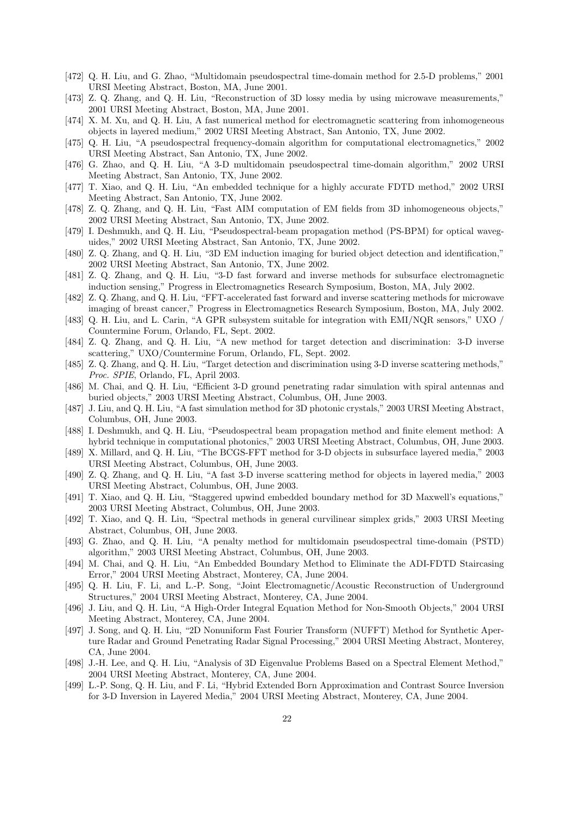- [472] Q. H. Liu, and G. Zhao, "Multidomain pseudospectral time-domain method for 2.5-D problems," 2001 URSI Meeting Abstract, Boston, MA, June 2001.
- [473] Z. Q. Zhang, and Q. H. Liu, "Reconstruction of 3D lossy media by using microwave measurements," 2001 URSI Meeting Abstract, Boston, MA, June 2001.
- [474] X. M. Xu, and Q. H. Liu, A fast numerical method for electromagnetic scattering from inhomogeneous objects in layered medium," 2002 URSI Meeting Abstract, San Antonio, TX, June 2002.
- [475] Q. H. Liu, "A pseudospectral frequency-domain algorithm for computational electromagnetics," 2002 URSI Meeting Abstract, San Antonio, TX, June 2002.
- [476] G. Zhao, and Q. H. Liu, "A 3-D multidomain pseudospectral time-domain algorithm," 2002 URSI Meeting Abstract, San Antonio, TX, June 2002.
- [477] T. Xiao, and Q. H. Liu, "An embedded technique for a highly accurate FDTD method," 2002 URSI Meeting Abstract, San Antonio, TX, June 2002.
- [478] Z. Q. Zhang, and Q. H. Liu, "Fast AIM computation of EM fields from 3D inhomogeneous objects," 2002 URSI Meeting Abstract, San Antonio, TX, June 2002.
- [479] I. Deshmukh, and Q. H. Liu, "Pseudospectral-beam propagation method (PS-BPM) for optical waveguides," 2002 URSI Meeting Abstract, San Antonio, TX, June 2002.
- [480] Z. Q. Zhang, and Q. H. Liu, "3D EM induction imaging for buried object detection and identification," 2002 URSI Meeting Abstract, San Antonio, TX, June 2002.
- [481] Z. Q. Zhang, and Q. H. Liu, "3-D fast forward and inverse methods for subsurface electromagnetic induction sensing," Progress in Electromagnetics Research Symposium, Boston, MA, July 2002.
- [482] Z. Q. Zhang, and Q. H. Liu, "FFT-accelerated fast forward and inverse scattering methods for microwave imaging of breast cancer," Progress in Electromagnetics Research Symposium, Boston, MA, July 2002.
- [483] Q. H. Liu, and L. Carin, "A GPR subsystem suitable for integration with EMI/NQR sensors," UXO / Countermine Forum, Orlando, FL, Sept. 2002.
- [484] Z. Q. Zhang, and Q. H. Liu, "A new method for target detection and discrimination: 3-D inverse scattering," UXO/Countermine Forum, Orlando, FL, Sept. 2002.
- [485] Z. Q. Zhang, and Q. H. Liu, "Target detection and discrimination using 3-D inverse scattering methods," *Proc. SPIE*, Orlando, FL, April 2003.
- [486] M. Chai, and Q. H. Liu, "Efficient 3-D ground penetrating radar simulation with spiral antennas and buried objects," 2003 URSI Meeting Abstract, Columbus, OH, June 2003.
- [487] J. Liu, and Q. H. Liu, "A fast simulation method for 3D photonic crystals," 2003 URSI Meeting Abstract, Columbus, OH, June 2003.
- [488] I. Deshmukh, and Q. H. Liu, "Pseudospectral beam propagation method and finite element method: A hybrid technique in computational photonics," 2003 URSI Meeting Abstract, Columbus, OH, June 2003.
- [489] X. Millard, and Q. H. Liu, "The BCGS-FFT method for 3-D objects in subsurface layered media," 2003 URSI Meeting Abstract, Columbus, OH, June 2003.
- [490] Z. Q. Zhang, and Q. H. Liu, "A fast 3-D inverse scattering method for objects in layered media," 2003 URSI Meeting Abstract, Columbus, OH, June 2003.
- [491] T. Xiao, and Q. H. Liu, "Staggered upwind embedded boundary method for 3D Maxwell's equations," 2003 URSI Meeting Abstract, Columbus, OH, June 2003.
- [492] T. Xiao, and Q. H. Liu, "Spectral methods in general curvilinear simplex grids," 2003 URSI Meeting Abstract, Columbus, OH, June 2003.
- [493] G. Zhao, and Q. H. Liu, "A penalty method for multidomain pseudospectral time-domain (PSTD) algorithm," 2003 URSI Meeting Abstract, Columbus, OH, June 2003.
- [494] M. Chai, and Q. H. Liu, "An Embedded Boundary Method to Eliminate the ADI-FDTD Staircasing Error," 2004 URSI Meeting Abstract, Monterey, CA, June 2004.
- [495] Q. H. Liu, F. Li, and L.-P. Song, "Joint Electromagnetic/Acoustic Reconstruction of Underground Structures," 2004 URSI Meeting Abstract, Monterey, CA, June 2004.
- [496] J. Liu, and Q. H. Liu, "A High-Order Integral Equation Method for Non-Smooth Objects," 2004 URSI Meeting Abstract, Monterey, CA, June 2004.
- [497] J. Song, and Q. H. Liu, "2D Nonuniform Fast Fourier Transform (NUFFT) Method for Synthetic Aperture Radar and Ground Penetrating Radar Signal Processing," 2004 URSI Meeting Abstract, Monterey, CA, June 2004.
- [498] J.-H. Lee, and Q. H. Liu, "Analysis of 3D Eigenvalue Problems Based on a Spectral Element Method," 2004 URSI Meeting Abstract, Monterey, CA, June 2004.
- [499] L.-P. Song, Q. H. Liu, and F. Li, "Hybrid Extended Born Approximation and Contrast Source Inversion for 3-D Inversion in Layered Media," 2004 URSI Meeting Abstract, Monterey, CA, June 2004.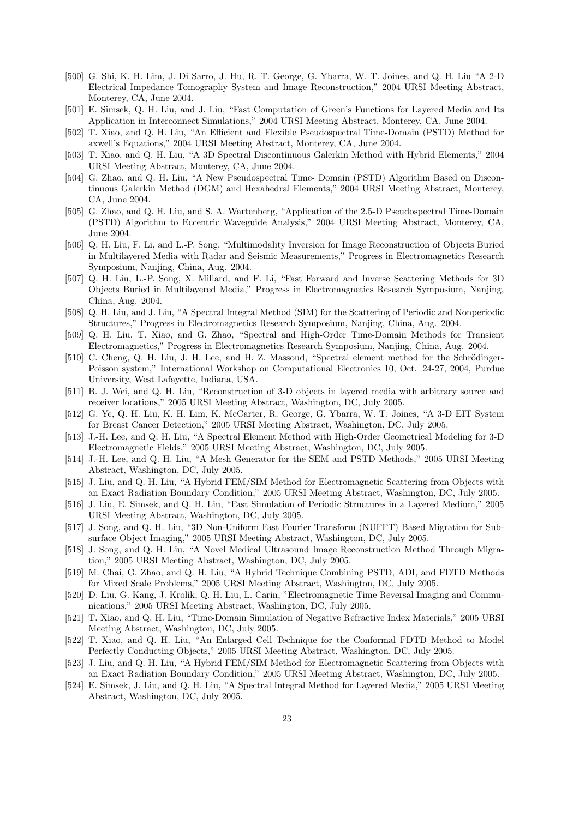- [500] G. Shi, K. H. Lim, J. Di Sarro, J. Hu, R. T. George, G. Ybarra, W. T. Joines, and Q. H. Liu "A 2-D Electrical Impedance Tomography System and Image Reconstruction," 2004 URSI Meeting Abstract, Monterey, CA, June 2004.
- [501] E. Simsek, Q. H. Liu, and J. Liu, "Fast Computation of Green's Functions for Layered Media and Its Application in Interconnect Simulations," 2004 URSI Meeting Abstract, Monterey, CA, June 2004.
- [502] T. Xiao, and Q. H. Liu, "An Efficient and Flexible Pseudospectral Time-Domain (PSTD) Method for axwell's Equations," 2004 URSI Meeting Abstract, Monterey, CA, June 2004.
- [503] T. Xiao, and Q. H. Liu, "A 3D Spectral Discontinuous Galerkin Method with Hybrid Elements," 2004 URSI Meeting Abstract, Monterey, CA, June 2004.
- [504] G. Zhao, and Q. H. Liu, "A New Pseudospectral Time- Domain (PSTD) Algorithm Based on Discontinuous Galerkin Method (DGM) and Hexahedral Elements," 2004 URSI Meeting Abstract, Monterey, CA, June 2004.
- [505] G. Zhao, and Q. H. Liu, and S. A. Wartenberg, "Application of the 2.5-D Pseudospectral Time-Domain (PSTD) Algorithm to Eccentric Waveguide Analysis," 2004 URSI Meeting Abstract, Monterey, CA, June 2004.
- [506] Q. H. Liu, F. Li, and L.-P. Song, "Multimodality Inversion for Image Reconstruction of Objects Buried in Multilayered Media with Radar and Seismic Measurements," Progress in Electromagnetics Research Symposium, Nanjing, China, Aug. 2004.
- [507] Q. H. Liu, L.-P. Song, X. Millard, and F. Li, "Fast Forward and Inverse Scattering Methods for 3D Objects Buried in Multilayered Media," Progress in Electromagnetics Research Symposium, Nanjing, China, Aug. 2004.
- [508] Q. H. Liu, and J. Liu, "A Spectral Integral Method (SIM) for the Scattering of Periodic and Nonperiodic Structures," Progress in Electromagnetics Research Symposium, Nanjing, China, Aug. 2004.
- [509] Q. H. Liu, T. Xiao, and G. Zhao, "Spectral and High-Order Time-Domain Methods for Transient Electromagnetics," Progress in Electromagnetics Research Symposium, Nanjing, China, Aug. 2004.
- [510] C. Cheng, Q. H. Liu, J. H. Lee, and H. Z. Massoud, "Spectral element method for the Schrödinger-Poisson system," International Workshop on Computational Electronics 10, Oct. 24-27, 2004, Purdue University, West Lafayette, Indiana, USA.
- [511] B. J. Wei, and Q. H. Liu, "Reconstruction of 3-D objects in layered media with arbitrary source and receiver locations," 2005 URSI Meeting Abstract, Washington, DC, July 2005.
- [512] G. Ye, Q. H. Liu, K. H. Lim, K. McCarter, R. George, G. Ybarra, W. T. Joines, "A 3-D EIT System for Breast Cancer Detection," 2005 URSI Meeting Abstract, Washington, DC, July 2005.
- [513] J.-H. Lee, and Q. H. Liu, "A Spectral Element Method with High-Order Geometrical Modeling for 3-D Electromagnetic Fields," 2005 URSI Meeting Abstract, Washington, DC, July 2005.
- [514] J.-H. Lee, and Q. H. Liu, "A Mesh Generator for the SEM and PSTD Methods," 2005 URSI Meeting Abstract, Washington, DC, July 2005.
- [515] J. Liu, and Q. H. Liu, "A Hybrid FEM/SIM Method for Electromagnetic Scattering from Objects with an Exact Radiation Boundary Condition," 2005 URSI Meeting Abstract, Washington, DC, July 2005.
- [516] J. Liu, E. Simsek, and Q. H. Liu, "Fast Simulation of Periodic Structures in a Layered Medium," 2005 URSI Meeting Abstract, Washington, DC, July 2005.
- [517] J. Song, and Q. H. Liu, "3D Non-Uniform Fast Fourier Transform (NUFFT) Based Migration for Subsurface Object Imaging," 2005 URSI Meeting Abstract, Washington, DC, July 2005.
- [518] J. Song, and Q. H. Liu, "A Novel Medical Ultrasound Image Reconstruction Method Through Migration," 2005 URSI Meeting Abstract, Washington, DC, July 2005.
- [519] M. Chai, G. Zhao, and Q. H. Liu, "A Hybrid Technique Combining PSTD, ADI, and FDTD Methods for Mixed Scale Problems," 2005 URSI Meeting Abstract, Washington, DC, July 2005.
- [520] D. Liu, G. Kang, J. Krolik, Q. H. Liu, L. Carin, "Electromagnetic Time Reversal Imaging and Communications," 2005 URSI Meeting Abstract, Washington, DC, July 2005.
- [521] T. Xiao, and Q. H. Liu, "Time-Domain Simulation of Negative Refractive Index Materials," 2005 URSI Meeting Abstract, Washington, DC, July 2005.
- [522] T. Xiao, and Q. H. Liu, "An Enlarged Cell Technique for the Conformal FDTD Method to Model Perfectly Conducting Objects," 2005 URSI Meeting Abstract, Washington, DC, July 2005.
- [523] J. Liu, and Q. H. Liu, "A Hybrid FEM/SIM Method for Electromagnetic Scattering from Objects with an Exact Radiation Boundary Condition," 2005 URSI Meeting Abstract, Washington, DC, July 2005.
- [524] E. Simsek, J. Liu, and Q. H. Liu, "A Spectral Integral Method for Layered Media," 2005 URSI Meeting Abstract, Washington, DC, July 2005.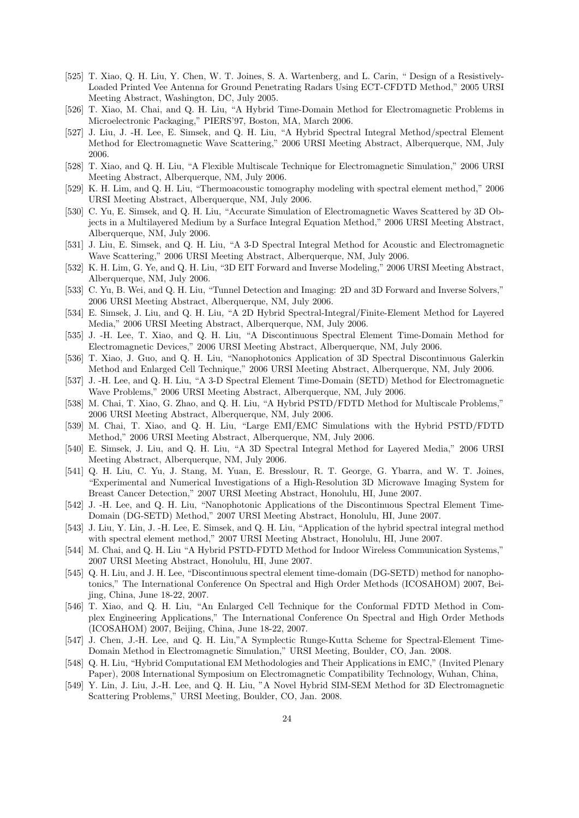- [525] T. Xiao, Q. H. Liu, Y. Chen, W. T. Joines, S. A. Wartenberg, and L. Carin, " Design of a Resistively-Loaded Printed Vee Antenna for Ground Penetrating Radars Using ECT-CFDTD Method," 2005 URSI Meeting Abstract, Washington, DC, July 2005.
- [526] T. Xiao, M. Chai, and Q. H. Liu, "A Hybrid Time-Domain Method for Electromagnetic Problems in Microelectronic Packaging," PIERS'97, Boston, MA, March 2006.
- [527] J. Liu, J. -H. Lee, E. Simsek, and Q. H. Liu, "A Hybrid Spectral Integral Method/spectral Element Method for Electromagnetic Wave Scattering," 2006 URSI Meeting Abstract, Alberquerque, NM, July 2006.
- [528] T. Xiao, and Q. H. Liu, "A Flexible Multiscale Technique for Electromagnetic Simulation," 2006 URSI Meeting Abstract, Alberquerque, NM, July 2006.
- [529] K. H. Lim, and Q. H. Liu, "Thermoacoustic tomography modeling with spectral element method," 2006 URSI Meeting Abstract, Alberquerque, NM, July 2006.
- [530] C. Yu, E. Simsek, and Q. H. Liu, "Accurate Simulation of Electromagnetic Waves Scattered by 3D Objects in a Multilayered Medium by a Surface Integral Equation Method," 2006 URSI Meeting Abstract, Alberquerque, NM, July 2006.
- [531] J. Liu, E. Simsek, and Q. H. Liu, "A 3-D Spectral Integral Method for Acoustic and Electromagnetic Wave Scattering," 2006 URSI Meeting Abstract, Alberquerque, NM, July 2006.
- [532] K. H. Lim, G. Ye, and Q. H. Liu, "3D EIT Forward and Inverse Modeling," 2006 URSI Meeting Abstract, Alberquerque, NM, July 2006.
- [533] C. Yu, B. Wei, and Q. H. Liu, "Tunnel Detection and Imaging: 2D and 3D Forward and Inverse Solvers," 2006 URSI Meeting Abstract, Alberquerque, NM, July 2006.
- [534] E. Simsek, J. Liu, and Q. H. Liu, "A 2D Hybrid Spectral-Integral/Finite-Element Method for Layered Media," 2006 URSI Meeting Abstract, Alberquerque, NM, July 2006.
- [535] J. -H. Lee, T. Xiao, and Q. H. Liu, "A Discontinuous Spectral Element Time-Domain Method for Electromagnetic Devices," 2006 URSI Meeting Abstract, Alberquerque, NM, July 2006.
- [536] T. Xiao, J. Guo, and Q. H. Liu, "Nanophotonics Application of 3D Spectral Discontinuous Galerkin Method and Enlarged Cell Technique," 2006 URSI Meeting Abstract, Alberquerque, NM, July 2006.
- [537] J. -H. Lee, and Q. H. Liu, "A 3-D Spectral Element Time-Domain (SETD) Method for Electromagnetic Wave Problems," 2006 URSI Meeting Abstract, Alberquerque, NM, July 2006.
- [538] M. Chai, T. Xiao, G. Zhao, and Q. H. Liu, "A Hybrid PSTD/FDTD Method for Multiscale Problems," 2006 URSI Meeting Abstract, Alberquerque, NM, July 2006.
- [539] M. Chai, T. Xiao, and Q. H. Liu, "Large EMI/EMC Simulations with the Hybrid PSTD/FDTD Method," 2006 URSI Meeting Abstract, Alberquerque, NM, July 2006.
- [540] E. Simsek, J. Liu, and Q. H. Liu, "A 3D Spectral Integral Method for Layered Media," 2006 URSI Meeting Abstract, Alberquerque, NM, July 2006.
- [541] Q. H. Liu, C. Yu, J. Stang, M. Yuan, E. Bresslour, R. T. George, G. Ybarra, and W. T. Joines, "Experimental and Numerical Investigations of a High-Resolution 3D Microwave Imaging System for Breast Cancer Detection," 2007 URSI Meeting Abstract, Honolulu, HI, June 2007.
- [542] J. -H. Lee, and Q. H. Liu, "Nanophotonic Applications of the Discontinuous Spectral Element Time-Domain (DG-SETD) Method," 2007 URSI Meeting Abstract, Honolulu, HI, June 2007.
- [543] J. Liu, Y. Lin, J. -H. Lee, E. Simsek, and Q. H. Liu, "Application of the hybrid spectral integral method with spectral element method," 2007 URSI Meeting Abstract, Honolulu, HI, June 2007.
- [544] M. Chai, and Q. H. Liu "A Hybrid PSTD-FDTD Method for Indoor Wireless Communication Systems," 2007 URSI Meeting Abstract, Honolulu, HI, June 2007.
- [545] Q. H. Liu, and J. H. Lee, "Discontinuous spectral element time-domain (DG-SETD) method for nanophotonics," The International Conference On Spectral and High Order Methods (ICOSAHOM) 2007, Beijing, China, June 18-22, 2007.
- [546] T. Xiao, and Q. H. Liu, "An Enlarged Cell Technique for the Conformal FDTD Method in Complex Engineering Applications," The International Conference On Spectral and High Order Methods (ICOSAHOM) 2007, Beijing, China, June 18-22, 2007.
- [547] J. Chen, J.-H. Lee, and Q. H. Liu,"A Symplectic Runge-Kutta Scheme for Spectral-Element Time-Domain Method in Electromagnetic Simulation," URSI Meeting, Boulder, CO, Jan. 2008.
- [548] Q. H. Liu, "Hybrid Computational EM Methodologies and Their Applications in EMC," (Invited Plenary Paper), 2008 International Symposium on Electromagnetic Compatibility Technology, Wuhan, China,
- [549] Y. Lin, J. Liu, J.-H. Lee, and Q. H. Liu, "A Novel Hybrid SIM-SEM Method for 3D Electromagnetic Scattering Problems," URSI Meeting, Boulder, CO, Jan. 2008.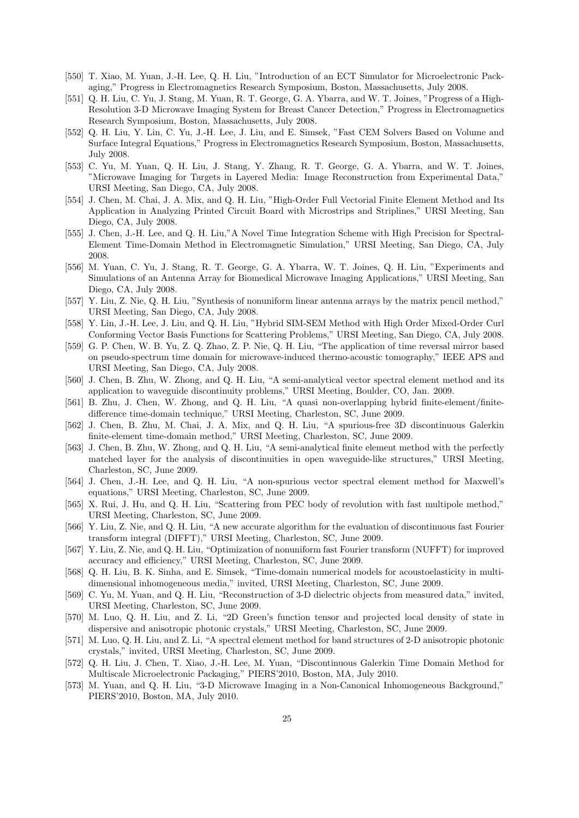- [550] T. Xiao, M. Yuan, J.-H. Lee, Q. H. Liu, "Introduction of an ECT Simulator for Microelectronic Packaging," Progress in Electromagnetics Research Symposium, Boston, Massachusetts, July 2008.
- [551] Q. H. Liu, C. Yu, J. Stang, M. Yuan, R. T. George, G. A. Ybarra, and W. T. Joines, "Progress of a High-Resolution 3-D Microwave Imaging System for Breast Cancer Detection," Progress in Electromagnetics Research Symposium, Boston, Massachusetts, July 2008.
- [552] Q. H. Liu, Y. Lin, C. Yu, J.-H. Lee, J. Liu, and E. Simsek, "Fast CEM Solvers Based on Volume and Surface Integral Equations," Progress in Electromagnetics Research Symposium, Boston, Massachusetts, July 2008.
- [553] C. Yu, M. Yuan, Q. H. Liu, J. Stang, Y. Zhang, R. T. George, G. A. Ybarra, and W. T. Joines, "Microwave Imaging for Targets in Layered Media: Image Reconstruction from Experimental Data," URSI Meeting, San Diego, CA, July 2008.
- [554] J. Chen, M. Chai, J. A. Mix, and Q. H. Liu, "High-Order Full Vectorial Finite Element Method and Its Application in Analyzing Printed Circuit Board with Microstrips and Striplines," URSI Meeting, San Diego, CA, July 2008.
- [555] J. Chen, J.-H. Lee, and Q. H. Liu,"A Novel Time Integration Scheme with High Precision for Spectral-Element Time-Domain Method in Electromagnetic Simulation," URSI Meeting, San Diego, CA, July 2008.
- [556] M. Yuan, C. Yu, J. Stang, R. T. George, G. A. Ybarra, W. T. Joines, Q. H. Liu, "Experiments and Simulations of an Antenna Array for Biomedical Microwave Imaging Applications," URSI Meeting, San Diego, CA, July 2008.
- [557] Y. Liu, Z. Nie, Q. H. Liu, "Synthesis of nonuniform linear antenna arrays by the matrix pencil method," URSI Meeting, San Diego, CA, July 2008.
- [558] Y. Lin, J.-H. Lee, J. Liu, and Q. H. Liu, "Hybrid SIM-SEM Method with High Order Mixed-Order Curl Conforming Vector Basis Functions for Scattering Problems," URSI Meeting, San Diego, CA, July 2008.
- [559] G. P. Chen, W. B. Yu, Z. Q. Zhao, Z. P. Nie, Q. H. Liu, "The application of time reversal mirror based on pseudo-spectrum time domain for microwave-induced thermo-acoustic tomography," IEEE APS and URSI Meeting, San Diego, CA, July 2008.
- [560] J. Chen, B. Zhu, W. Zhong, and Q. H. Liu, "A semi-analytical vector spectral element method and its application to waveguide discontinuity problems," URSI Meeting, Boulder, CO, Jan. 2009.
- [561] B. Zhu, J. Chen, W. Zhong, and Q. H. Liu, "A quasi non-overlapping hybrid finite-element/finitedifference time-domain technique," URSI Meeting, Charleston, SC, June 2009.
- [562] J. Chen, B. Zhu, M. Chai, J. A. Mix, and Q. H. Liu, "A spurious-free 3D discontinuous Galerkin finite-element time-domain method," URSI Meeting, Charleston, SC, June 2009.
- [563] J. Chen, B. Zhu, W. Zhong, and Q. H. Liu, "A semi-analytical finite element method with the perfectly matched layer for the analysis of discontinuities in open waveguide-like structures," URSI Meeting, Charleston, SC, June 2009.
- [564] J. Chen, J.-H. Lee, and Q. H. Liu, "A non-spurious vector spectral element method for Maxwell's equations," URSI Meeting, Charleston, SC, June 2009.
- [565] X. Rui, J. Hu, and Q. H. Liu, "Scattering from PEC body of revolution with fast multipole method," URSI Meeting, Charleston, SC, June 2009.
- [566] Y. Liu, Z. Nie, and Q. H. Liu, "A new accurate algorithm for the evaluation of discontinuous fast Fourier transform integral (DIFFT)," URSI Meeting, Charleston, SC, June 2009.
- [567] Y. Liu, Z. Nie, and Q. H. Liu, "Optimization of nonuniform fast Fourier transform (NUFFT) for improved accuracy and efficiency," URSI Meeting, Charleston, SC, June 2009.
- [568] Q. H. Liu, B. K. Sinha, and E. Simsek, "Time-domain numerical models for acoustoelasticity in multidimensional inhomogeneous media," invited, URSI Meeting, Charleston, SC, June 2009.
- [569] C. Yu, M. Yuan, and Q. H. Liu, "Reconstruction of 3-D dielectric objects from measured data," invited, URSI Meeting, Charleston, SC, June 2009.
- [570] M. Luo, Q. H. Liu, and Z. Li, "2D Green's function tensor and projected local density of state in dispersive and anisotropic photonic crystals," URSI Meeting, Charleston, SC, June 2009.
- [571] M. Luo, Q. H. Liu, and Z. Li, "A spectral element method for band structures of 2-D anisotropic photonic crystals," invited, URSI Meeting, Charleston, SC, June 2009.
- [572] Q. H. Liu, J. Chen, T. Xiao, J.-H. Lee, M. Yuan, "Discontinuous Galerkin Time Domain Method for Multiscale Microelectronic Packaging," PIERS'2010, Boston, MA, July 2010.
- [573] M. Yuan, and Q. H. Liu, "3-D Microwave Imaging in a Non-Canonical Inhomogeneous Background," PIERS'2010, Boston, MA, July 2010.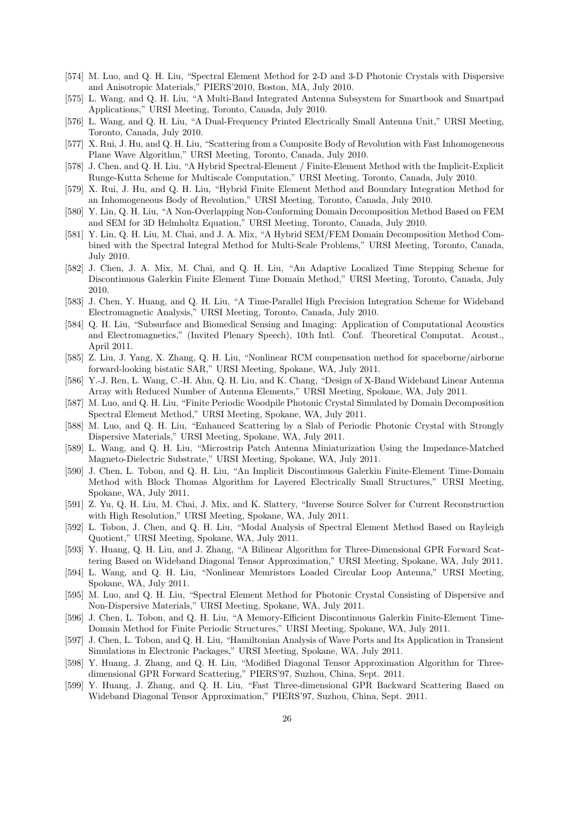- [574] M. Luo, and Q. H. Liu, "Spectral Element Method for 2-D and 3-D Photonic Crystals with Dispersive and Anisotropic Materials," PIERS'2010, Boston, MA, July 2010.
- [575] L. Wang, and Q. H. Liu, "A Multi-Band Integrated Antenna Subsystem for Smartbook and Smartpad Applications," URSI Meeting, Toronto, Canada, July 2010.
- [576] L. Wang, and Q. H. Liu, "A Dual-Frequency Printed Electrically Small Antenna Unit," URSI Meeting, Toronto, Canada, July 2010.
- [577] X. Rui, J. Hu, and Q. H. Liu, "Scattering from a Composite Body of Revolution with Fast Inhomogeneous Plane Wave Algorithm," URSI Meeting, Toronto, Canada, July 2010.
- [578] J. Chen, and Q. H. Liu, "A Hybrid Spectral-Element / Finite-Element Method with the Implicit-Explicit Runge-Kutta Scheme for Multiscale Computation," URSI Meeting, Toronto, Canada, July 2010.
- [579] X. Rui, J. Hu, and Q. H. Liu, "Hybrid Finite Element Method and Boundary Integration Method for an Inhomogeneous Body of Revolution," URSI Meeting, Toronto, Canada, July 2010.
- [580] Y. Lin, Q. H. Liu, "A Non-Overlapping Non-Conforming Domain Decomposition Method Based on FEM and SEM for 3D Helmholtz Equation," URSI Meeting, Toronto, Canada, July 2010.
- [581] Y. Lin, Q. H. Liu, M. Chai, and J. A. Mix, "A Hybrid SEM/FEM Domain Decomposition Method Combined with the Spectral Integral Method for Multi-Scale Problems," URSI Meeting, Toronto, Canada, July 2010.
- [582] J. Chen, J. A. Mix, M. Chai, and Q. H. Liu, "An Adaptive Localized Time Stepping Scheme for Discontinuous Galerkin Finite Element Time Domain Method," URSI Meeting, Toronto, Canada, July 2010.
- [583] J. Chen, Y. Huang, and Q. H. Liu, "A Time-Parallel High Precision Integration Scheme for Wideband Electromagnetic Analysis," URSI Meeting, Toronto, Canada, July 2010.
- [584] Q. H. Liu, "Subsurface and Biomedical Sensing and Imaging: Application of Computational Acoustics and Electromagnetics," (Invited Plenary Speech), 10th Intl. Conf. Theoretical Computat. Acoust., April 2011.
- [585] Z. Liu, J. Yang, X. Zhang, Q. H. Liu, "Nonlinear RCM compensation method for spaceborne/airborne forward-looking bistatic SAR," URSI Meeting, Spokane, WA, July 2011.
- [586] Y.-J. Ren, L. Wang, C.-H. Ahn, Q. H. Liu, and K. Chang, "Design of X-Band Wideband Linear Antenna Array with Reduced Number of Antenna Elements," URSI Meeting, Spokane, WA, July 2011.
- [587] M. Luo, and Q. H. Liu, "Finite Periodic Woodpile Photonic Crystal Simulated by Domain Decomposition Spectral Element Method," URSI Meeting, Spokane, WA, July 2011.
- [588] M. Luo, and Q. H. Liu, "Enhanced Scattering by a Slab of Periodic Photonic Crystal with Strongly Dispersive Materials," URSI Meeting, Spokane, WA, July 2011.
- [589] L. Wang, and Q. H. Liu, "Microstrip Patch Antenna Miniaturization Using the Impedance-Matched Magneto-Dielectric Substrate," URSI Meeting, Spokane, WA, July 2011.
- [590] J. Chen, L. Tobon, and Q. H. Liu, "An Implicit Discontinuous Galerkin Finite-Element Time-Domain Method with Block Thomas Algorithm for Layered Electrically Small Structures," URSI Meeting, Spokane, WA, July 2011.
- [591] Z. Yu, Q. H. Liu, M. Chai, J. Mix, and K. Slattery, "Inverse Source Solver for Current Reconstruction with High Resolution," URSI Meeting, Spokane, WA, July 2011.
- [592] L. Tobon, J. Chen, and Q. H. Liu, "Modal Analysis of Spectral Element Method Based on Rayleigh Quotient," URSI Meeting, Spokane, WA, July 2011.
- [593] Y. Huang, Q. H. Liu, and J. Zhang, "A Bilinear Algorithm for Three-Dimensional GPR Forward Scattering Based on Wideband Diagonal Tensor Approximation," URSI Meeting, Spokane, WA, July 2011.
- [594] L. Wang, and Q. H. Liu, "Nonlinear Memristors Loaded Circular Loop Antenna," URSI Meeting, Spokane, WA, July 2011.
- [595] M. Luo, and Q. H. Liu, "Spectral Element Method for Photonic Crystal Consisting of Dispersive and Non-Dispersive Materials," URSI Meeting, Spokane, WA, July 2011.
- [596] J. Chen, L. Tobon, and Q. H. Liu, "A Memory-Efficient Discontinuous Galerkin Finite-Element Time-Domain Method for Finite Periodic Structures," URSI Meeting, Spokane, WA, July 2011.
- [597] J. Chen, L. Tobon, and Q. H. Liu, "Hamiltonian Analysis of Wave Ports and Its Application in Transient Simulations in Electronic Packages," URSI Meeting, Spokane, WA, July 2011.
- [598] Y. Huang, J. Zhang, and Q. H. Liu, "Modified Diagonal Tensor Approximation Algorithm for Threedimensional GPR Forward Scattering," PIERS'97, Suzhou, China, Sept. 2011.
- [599] Y. Huang, J. Zhang, and Q. H. Liu, "Fast Three-dimensional GPR Backward Scattering Based on Wideband Diagonal Tensor Approximation," PIERS'97, Suzhou, China, Sept. 2011.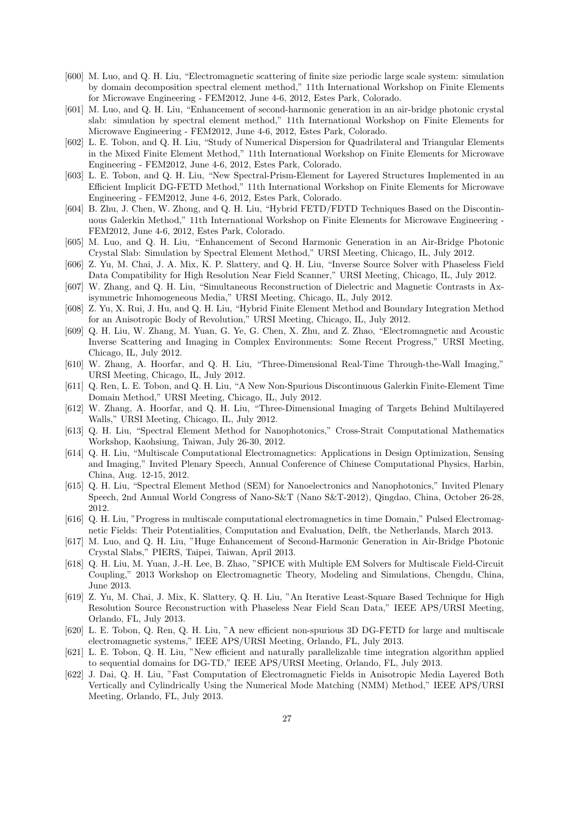- [600] M. Luo, and Q. H. Liu, "Electromagnetic scattering of finite size periodic large scale system: simulation by domain decomposition spectral element method," 11th International Workshop on Finite Elements for Microwave Engineering - FEM2012, June 4-6, 2012, Estes Park, Colorado.
- [601] M. Luo, and Q. H. Liu, "Enhancement of second-harmonic generation in an air-bridge photonic crystal slab: simulation by spectral element method," 11th International Workshop on Finite Elements for Microwave Engineering - FEM2012, June 4-6, 2012, Estes Park, Colorado.
- [602] L. E. Tobon, and Q. H. Liu, "Study of Numerical Dispersion for Quadrilateral and Triangular Elements in the Mixed Finite Element Method," 11th International Workshop on Finite Elements for Microwave Engineering - FEM2012, June 4-6, 2012, Estes Park, Colorado.
- [603] L. E. Tobon, and Q. H. Liu, "New Spectral-Prism-Element for Layered Structures Implemented in an Efficient Implicit DG-FETD Method," 11th International Workshop on Finite Elements for Microwave Engineering - FEM2012, June 4-6, 2012, Estes Park, Colorado.
- [604] B. Zhu, J. Chen, W. Zhong, and Q. H. Liu, "Hybrid FETD/FDTD Techniques Based on the Discontinuous Galerkin Method," 11th International Workshop on Finite Elements for Microwave Engineering - FEM2012, June 4-6, 2012, Estes Park, Colorado.
- [605] M. Luo, and Q. H. Liu, "Enhancement of Second Harmonic Generation in an Air-Bridge Photonic Crystal Slab: Simulation by Spectral Element Method," URSI Meeting, Chicago, IL, July 2012.
- [606] Z. Yu, M. Chai, J. A. Mix, K. P. Slattery, and Q. H. Liu, "Inverse Source Solver with Phaseless Field Data Compatibility for High Resolution Near Field Scanner," URSI Meeting, Chicago, IL, July 2012.
- [607] W. Zhang, and Q. H. Liu, "Simultaneous Reconstruction of Dielectric and Magnetic Contrasts in Axisymmetric Inhomogeneous Media," URSI Meeting, Chicago, IL, July 2012.
- [608] Z. Yu, X. Rui, J. Hu, and Q. H. Liu, "Hybrid Finite Element Method and Boundary Integration Method for an Anisotropic Body of Revolution," URSI Meeting, Chicago, IL, July 2012.
- [609] Q. H. Liu, W. Zhang, M. Yuan, G. Ye, G. Chen, X. Zhu, and Z. Zhao, "Electromagnetic and Acoustic Inverse Scattering and Imaging in Complex Environments: Some Recent Progress," URSI Meeting, Chicago, IL, July 2012.
- [610] W. Zhang, A. Hoorfar, and Q. H. Liu, "Three-Dimensional Real-Time Through-the-Wall Imaging," URSI Meeting, Chicago, IL, July 2012.
- [611] Q. Ren, L. E. Tobon, and Q. H. Liu, "A New Non-Spurious Discontinuous Galerkin Finite-Element Time Domain Method," URSI Meeting, Chicago, IL, July 2012.
- [612] W. Zhang, A. Hoorfar, and Q. H. Liu, "Three-Dimensional Imaging of Targets Behind Multilayered Walls," URSI Meeting, Chicago, IL, July 2012.
- [613] Q. H. Liu, "Spectral Element Method for Nanophotonics," Cross-Strait Computational Mathematics Workshop, Kaohsiung, Taiwan, July 26-30, 2012.
- [614] Q. H. Liu, "Multiscale Computational Electromagnetics: Applications in Design Optimization, Sensing and Imaging," Invited Plenary Speech, Annual Conference of Chinese Computational Physics, Harbin, China, Aug. 12-15, 2012.
- [615] Q. H. Liu, "Spectral Element Method (SEM) for Nanoelectronics and Nanophotonics," Invited Plenary Speech, 2nd Annual World Congress of Nano-S&T (Nano S&T-2012), Qingdao, China, October 26-28, 2012.
- [616] Q. H. Liu, "Progress in multiscale computational electromagnetics in time Domain," Pulsed Electromagnetic Fields: Their Potentialities, Computation and Evaluation, Delft, the Netherlands, March 2013.
- [617] M. Luo, and Q. H. Liu, "Huge Enhancement of Second-Harmonic Generation in Air-Bridge Photonic Crystal Slabs," PIERS, Taipei, Taiwan, April 2013.
- [618] Q. H. Liu, M. Yuan, J.-H. Lee, B. Zhao, "SPICE with Multiple EM Solvers for Multiscale Field-Circuit Coupling," 2013 Workshop on Electromagnetic Theory, Modeling and Simulations, Chengdu, China, June 2013.
- [619] Z. Yu, M. Chai, J. Mix, K. Slattery, Q. H. Liu, "An Iterative Least-Square Based Technique for High Resolution Source Reconstruction with Phaseless Near Field Scan Data," IEEE APS/URSI Meeting, Orlando, FL, July 2013.
- [620] L. E. Tobon, Q. Ren, Q. H. Liu, "A new efficient non-spurious 3D DG-FETD for large and multiscale electromagnetic systems," IEEE APS/URSI Meeting, Orlando, FL, July 2013.
- [621] L. E. Tobon, Q. H. Liu, "New efficient and naturally parallelizable time integration algorithm applied to sequential domains for DG-TD," IEEE APS/URSI Meeting, Orlando, FL, July 2013.
- [622] J. Dai, Q. H. Liu, "Fast Computation of Electromagnetic Fields in Anisotropic Media Layered Both Vertically and Cylindrically Using the Numerical Mode Matching (NMM) Method," IEEE APS/URSI Meeting, Orlando, FL, July 2013.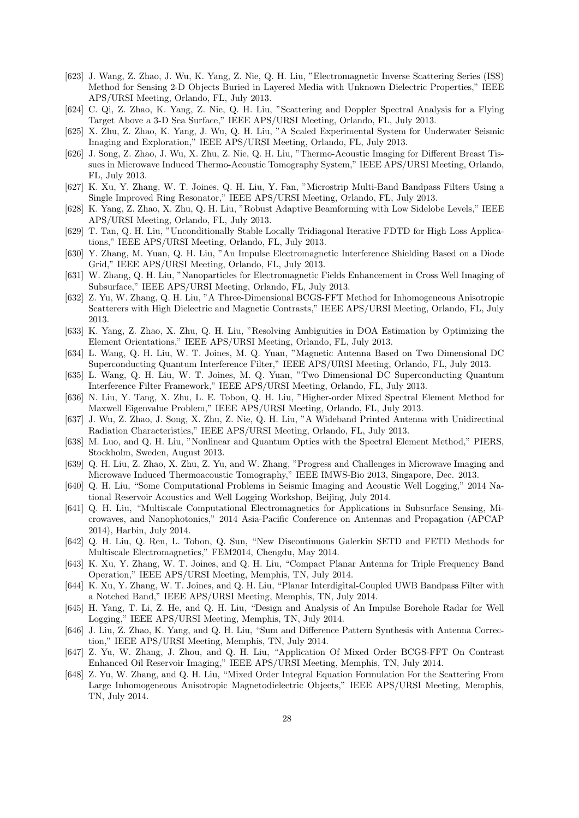- [623] J. Wang, Z. Zhao, J. Wu, K. Yang, Z. Nie, Q. H. Liu, "Electromagnetic Inverse Scattering Series (ISS) Method for Sensing 2-D Objects Buried in Layered Media with Unknown Dielectric Properties," IEEE APS/URSI Meeting, Orlando, FL, July 2013.
- [624] C. Qi, Z. Zhao, K. Yang, Z. Nie, Q. H. Liu, "Scattering and Doppler Spectral Analysis for a Flying Target Above a 3-D Sea Surface," IEEE APS/URSI Meeting, Orlando, FL, July 2013.
- [625] X. Zhu, Z. Zhao, K. Yang, J. Wu, Q. H. Liu, "A Scaled Experimental System for Underwater Seismic Imaging and Exploration," IEEE APS/URSI Meeting, Orlando, FL, July 2013.
- [626] J. Song, Z. Zhao, J. Wu, X. Zhu, Z. Nie, Q. H. Liu, "Thermo-Acoustic Imaging for Different Breast Tissues in Microwave Induced Thermo-Acoustic Tomography System," IEEE APS/URSI Meeting, Orlando, FL, July 2013.
- [627] K. Xu, Y. Zhang, W. T. Joines, Q. H. Liu, Y. Fan, "Microstrip Multi-Band Bandpass Filters Using a Single Improved Ring Resonator," IEEE APS/URSI Meeting, Orlando, FL, July 2013.
- [628] K. Yang, Z. Zhao, X. Zhu, Q. H. Liu, "Robust Adaptive Beamforming with Low Sidelobe Levels," IEEE APS/URSI Meeting, Orlando, FL, July 2013.
- [629] T. Tan, Q. H. Liu, "Unconditionally Stable Locally Tridiagonal Iterative FDTD for High Loss Applications," IEEE APS/URSI Meeting, Orlando, FL, July 2013.
- [630] Y. Zhang, M. Yuan, Q. H. Liu, "An Impulse Electromagnetic Interference Shielding Based on a Diode Grid," IEEE APS/URSI Meeting, Orlando, FL, July 2013.
- [631] W. Zhang, Q. H. Liu, "Nanoparticles for Electromagnetic Fields Enhancement in Cross Well Imaging of Subsurface," IEEE APS/URSI Meeting, Orlando, FL, July 2013.
- [632] Z. Yu, W. Zhang, Q. H. Liu, "A Three-Dimensional BCGS-FFT Method for Inhomogeneous Anisotropic Scatterers with High Dielectric and Magnetic Contrasts," IEEE APS/URSI Meeting, Orlando, FL, July 2013.
- [633] K. Yang, Z. Zhao, X. Zhu, Q. H. Liu, "Resolving Ambiguities in DOA Estimation by Optimizing the Element Orientations," IEEE APS/URSI Meeting, Orlando, FL, July 2013.
- [634] L. Wang, Q. H. Liu, W. T. Joines, M. Q. Yuan, "Magnetic Antenna Based on Two Dimensional DC Superconducting Quantum Interference Filter," IEEE APS/URSI Meeting, Orlando, FL, July 2013.
- [635] L. Wang, Q. H. Liu, W. T. Joines, M. Q. Yuan, "Two Dimensional DC Superconducting Quantum Interference Filter Framework," IEEE APS/URSI Meeting, Orlando, FL, July 2013.
- [636] N. Liu, Y. Tang, X. Zhu, L. E. Tobon, Q. H. Liu, "Higher-order Mixed Spectral Element Method for Maxwell Eigenvalue Problem," IEEE APS/URSI Meeting, Orlando, FL, July 2013.
- [637] J. Wu, Z. Zhao, J. Song, X. Zhu, Z. Nie, Q. H. Liu, "A Wideband Printed Antenna with Unidirectinal Radiation Characteristics," IEEE APS/URSI Meeting, Orlando, FL, July 2013.
- [638] M. Luo, and Q. H. Liu, "Nonlinear and Quantum Optics with the Spectral Element Method," PIERS, Stockholm, Sweden, August 2013.
- [639] Q. H. Liu, Z. Zhao, X. Zhu, Z. Yu, and W. Zhang, "Progress and Challenges in Microwave Imaging and Microwave Induced Thermoacoustic Tomography," IEEE IMWS-Bio 2013, Singapore, Dec. 2013.
- [640] Q. H. Liu, "Some Computational Problems in Seismic Imaging and Acoustic Well Logging," 2014 National Reservoir Acoustics and Well Logging Workshop, Beijing, July 2014.
- [641] Q. H. Liu, "Multiscale Computational Electromagnetics for Applications in Subsurface Sensing, Microwaves, and Nanophotonics," 2014 Asia-Pacific Conference on Antennas and Propagation (APCAP 2014), Harbin, July 2014.
- [642] Q. H. Liu, Q. Ren, L. Tobon, Q. Sun, "New Discontinuous Galerkin SETD and FETD Methods for Multiscale Electromagnetics," FEM2014, Chengdu, May 2014.
- [643] K. Xu, Y. Zhang, W. T. Joines, and Q. H. Liu, "Compact Planar Antenna for Triple Frequency Band Operation," IEEE APS/URSI Meeting, Memphis, TN, July 2014.
- [644] K. Xu, Y. Zhang, W. T. Joines, and Q. H. Liu, "Planar Interdigital-Coupled UWB Bandpass Filter with a Notched Band," IEEE APS/URSI Meeting, Memphis, TN, July 2014.
- [645] H. Yang, T. Li, Z. He, and Q. H. Liu, "Design and Analysis of An Impulse Borehole Radar for Well Logging," IEEE APS/URSI Meeting, Memphis, TN, July 2014.
- [646] J. Liu, Z. Zhao, K. Yang, and Q. H. Liu, "Sum and Difference Pattern Synthesis with Antenna Correction," IEEE APS/URSI Meeting, Memphis, TN, July 2014.
- [647] Z. Yu, W. Zhang, J. Zhou, and Q. H. Liu, "Application Of Mixed Order BCGS-FFT On Contrast Enhanced Oil Reservoir Imaging," IEEE APS/URSI Meeting, Memphis, TN, July 2014.
- [648] Z. Yu, W. Zhang, and Q. H. Liu, "Mixed Order Integral Equation Formulation For the Scattering From Large Inhomogeneous Anisotropic Magnetodielectric Objects," IEEE APS/URSI Meeting, Memphis, TN, July 2014.